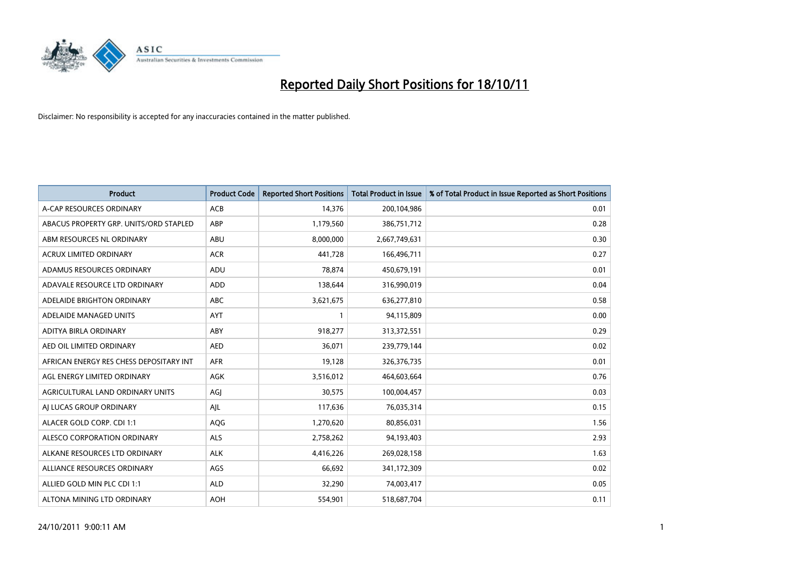

| <b>Product</b>                          | <b>Product Code</b> | <b>Reported Short Positions</b> | <b>Total Product in Issue</b> | % of Total Product in Issue Reported as Short Positions |
|-----------------------------------------|---------------------|---------------------------------|-------------------------------|---------------------------------------------------------|
| A-CAP RESOURCES ORDINARY                | <b>ACB</b>          | 14,376                          | 200,104,986                   | 0.01                                                    |
| ABACUS PROPERTY GRP. UNITS/ORD STAPLED  | <b>ABP</b>          | 1,179,560                       | 386,751,712                   | 0.28                                                    |
| ABM RESOURCES NL ORDINARY               | <b>ABU</b>          | 8,000,000                       | 2,667,749,631                 | 0.30                                                    |
| ACRUX LIMITED ORDINARY                  | <b>ACR</b>          | 441,728                         | 166,496,711                   | 0.27                                                    |
| ADAMUS RESOURCES ORDINARY               | ADU                 | 78,874                          | 450,679,191                   | 0.01                                                    |
| ADAVALE RESOURCE LTD ORDINARY           | <b>ADD</b>          | 138,644                         | 316,990,019                   | 0.04                                                    |
| ADELAIDE BRIGHTON ORDINARY              | <b>ABC</b>          | 3,621,675                       | 636,277,810                   | 0.58                                                    |
| ADELAIDE MANAGED UNITS                  | <b>AYT</b>          |                                 | 94,115,809                    | 0.00                                                    |
| ADITYA BIRLA ORDINARY                   | ABY                 | 918,277                         | 313,372,551                   | 0.29                                                    |
| AED OIL LIMITED ORDINARY                | <b>AED</b>          | 36,071                          | 239,779,144                   | 0.02                                                    |
| AFRICAN ENERGY RES CHESS DEPOSITARY INT | <b>AFR</b>          | 19,128                          | 326,376,735                   | 0.01                                                    |
| AGL ENERGY LIMITED ORDINARY             | AGK                 | 3,516,012                       | 464,603,664                   | 0.76                                                    |
| AGRICULTURAL LAND ORDINARY UNITS        | AGI                 | 30,575                          | 100,004,457                   | 0.03                                                    |
| AI LUCAS GROUP ORDINARY                 | AJL                 | 117,636                         | 76,035,314                    | 0.15                                                    |
| ALACER GOLD CORP. CDI 1:1               | AQG                 | 1,270,620                       | 80,856,031                    | 1.56                                                    |
| ALESCO CORPORATION ORDINARY             | <b>ALS</b>          | 2,758,262                       | 94,193,403                    | 2.93                                                    |
| ALKANE RESOURCES LTD ORDINARY           | <b>ALK</b>          | 4,416,226                       | 269,028,158                   | 1.63                                                    |
| ALLIANCE RESOURCES ORDINARY             | AGS                 | 66,692                          | 341,172,309                   | 0.02                                                    |
| ALLIED GOLD MIN PLC CDI 1:1             | <b>ALD</b>          | 32,290                          | 74,003,417                    | 0.05                                                    |
| ALTONA MINING LTD ORDINARY              | <b>AOH</b>          | 554,901                         | 518,687,704                   | 0.11                                                    |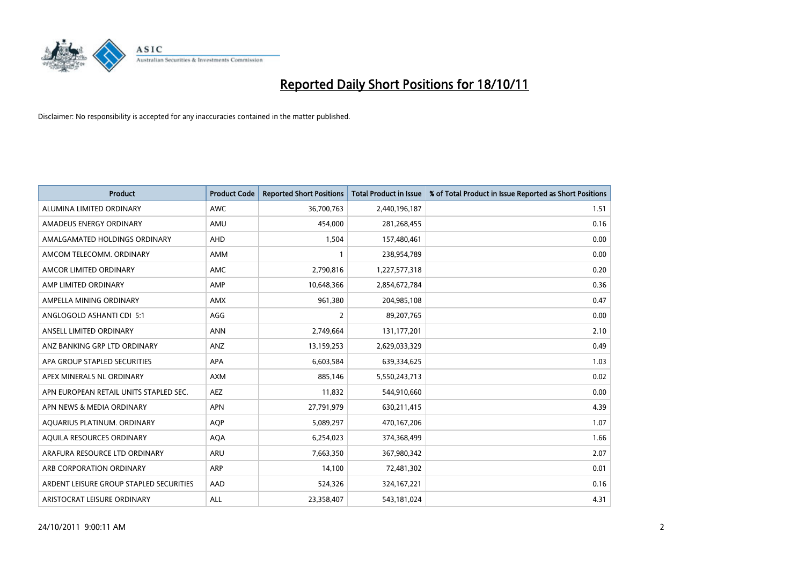

| <b>Product</b>                          | <b>Product Code</b> | <b>Reported Short Positions</b> | <b>Total Product in Issue</b> | % of Total Product in Issue Reported as Short Positions |
|-----------------------------------------|---------------------|---------------------------------|-------------------------------|---------------------------------------------------------|
| ALUMINA LIMITED ORDINARY                | <b>AWC</b>          | 36,700,763                      | 2,440,196,187                 | 1.51                                                    |
| AMADEUS ENERGY ORDINARY                 | AMU                 | 454,000                         | 281,268,455                   | 0.16                                                    |
| AMALGAMATED HOLDINGS ORDINARY           | <b>AHD</b>          | 1,504                           | 157,480,461                   | 0.00                                                    |
| AMCOM TELECOMM. ORDINARY                | <b>AMM</b>          |                                 | 238,954,789                   | 0.00                                                    |
| AMCOR LIMITED ORDINARY                  | <b>AMC</b>          | 2,790,816                       | 1,227,577,318                 | 0.20                                                    |
| AMP LIMITED ORDINARY                    | AMP                 | 10,648,366                      | 2,854,672,784                 | 0.36                                                    |
| AMPELLA MINING ORDINARY                 | <b>AMX</b>          | 961,380                         | 204,985,108                   | 0.47                                                    |
| ANGLOGOLD ASHANTI CDI 5:1               | AGG                 | 2                               | 89,207,765                    | 0.00                                                    |
| ANSELL LIMITED ORDINARY                 | <b>ANN</b>          | 2,749,664                       | 131,177,201                   | 2.10                                                    |
| ANZ BANKING GRP LTD ORDINARY            | ANZ                 | 13,159,253                      | 2,629,033,329                 | 0.49                                                    |
| APA GROUP STAPLED SECURITIES            | <b>APA</b>          | 6,603,584                       | 639,334,625                   | 1.03                                                    |
| APEX MINERALS NL ORDINARY               | <b>AXM</b>          | 885,146                         | 5,550,243,713                 | 0.02                                                    |
| APN EUROPEAN RETAIL UNITS STAPLED SEC.  | <b>AEZ</b>          | 11,832                          | 544,910,660                   | 0.00                                                    |
| APN NEWS & MEDIA ORDINARY               | <b>APN</b>          | 27,791,979                      | 630,211,415                   | 4.39                                                    |
| AQUARIUS PLATINUM. ORDINARY             | <b>AOP</b>          | 5,089,297                       | 470,167,206                   | 1.07                                                    |
| AQUILA RESOURCES ORDINARY               | <b>AQA</b>          | 6,254,023                       | 374,368,499                   | 1.66                                                    |
| ARAFURA RESOURCE LTD ORDINARY           | <b>ARU</b>          | 7,663,350                       | 367,980,342                   | 2.07                                                    |
| ARB CORPORATION ORDINARY                | <b>ARP</b>          | 14,100                          | 72,481,302                    | 0.01                                                    |
| ARDENT LEISURE GROUP STAPLED SECURITIES | AAD                 | 524,326                         | 324, 167, 221                 | 0.16                                                    |
| ARISTOCRAT LEISURE ORDINARY             | <b>ALL</b>          | 23,358,407                      | 543,181,024                   | 4.31                                                    |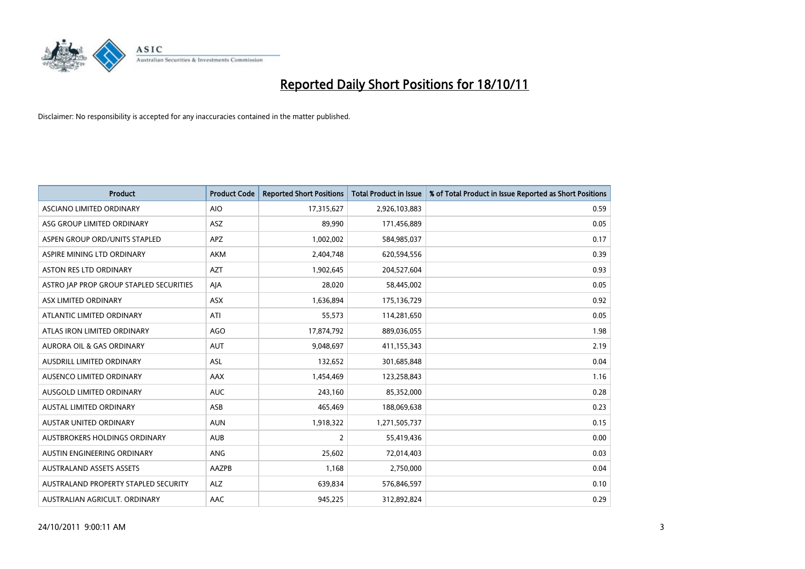

| <b>Product</b>                          | <b>Product Code</b> | <b>Reported Short Positions</b> | <b>Total Product in Issue</b> | % of Total Product in Issue Reported as Short Positions |
|-----------------------------------------|---------------------|---------------------------------|-------------------------------|---------------------------------------------------------|
| ASCIANO LIMITED ORDINARY                | <b>AIO</b>          | 17,315,627                      | 2,926,103,883                 | 0.59                                                    |
| ASG GROUP LIMITED ORDINARY              | <b>ASZ</b>          | 89,990                          | 171,456,889                   | 0.05                                                    |
| ASPEN GROUP ORD/UNITS STAPLED           | <b>APZ</b>          | 1,002,002                       | 584,985,037                   | 0.17                                                    |
| ASPIRE MINING LTD ORDINARY              | <b>AKM</b>          | 2,404,748                       | 620,594,556                   | 0.39                                                    |
| <b>ASTON RES LTD ORDINARY</b>           | <b>AZT</b>          | 1,902,645                       | 204,527,604                   | 0.93                                                    |
| ASTRO JAP PROP GROUP STAPLED SECURITIES | AIA                 | 28,020                          | 58,445,002                    | 0.05                                                    |
| ASX LIMITED ORDINARY                    | <b>ASX</b>          | 1,636,894                       | 175,136,729                   | 0.92                                                    |
| ATLANTIC LIMITED ORDINARY               | ATI                 | 55,573                          | 114,281,650                   | 0.05                                                    |
| ATLAS IRON LIMITED ORDINARY             | AGO                 | 17,874,792                      | 889,036,055                   | 1.98                                                    |
| <b>AURORA OIL &amp; GAS ORDINARY</b>    | <b>AUT</b>          | 9,048,697                       | 411,155,343                   | 2.19                                                    |
| AUSDRILL LIMITED ORDINARY               | ASL                 | 132,652                         | 301,685,848                   | 0.04                                                    |
| AUSENCO LIMITED ORDINARY                | AAX                 | 1,454,469                       | 123,258,843                   | 1.16                                                    |
| AUSGOLD LIMITED ORDINARY                | <b>AUC</b>          | 243,160                         | 85,352,000                    | 0.28                                                    |
| <b>AUSTAL LIMITED ORDINARY</b>          | ASB                 | 465,469                         | 188,069,638                   | 0.23                                                    |
| <b>AUSTAR UNITED ORDINARY</b>           | <b>AUN</b>          | 1,918,322                       | 1,271,505,737                 | 0.15                                                    |
| AUSTBROKERS HOLDINGS ORDINARY           | <b>AUB</b>          | $\overline{2}$                  | 55,419,436                    | 0.00                                                    |
| AUSTIN ENGINEERING ORDINARY             | ANG                 | 25,602                          | 72,014,403                    | 0.03                                                    |
| <b>AUSTRALAND ASSETS ASSETS</b>         | AAZPB               | 1,168                           | 2,750,000                     | 0.04                                                    |
| AUSTRALAND PROPERTY STAPLED SECURITY    | <b>ALZ</b>          | 639,834                         | 576,846,597                   | 0.10                                                    |
| AUSTRALIAN AGRICULT. ORDINARY           | AAC                 | 945,225                         | 312,892,824                   | 0.29                                                    |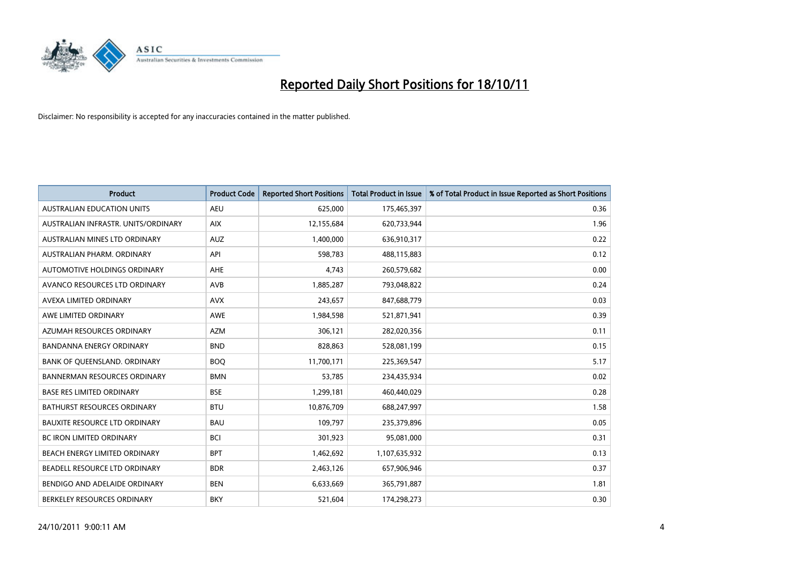

| <b>Product</b>                       | <b>Product Code</b> | <b>Reported Short Positions</b> | <b>Total Product in Issue</b> | % of Total Product in Issue Reported as Short Positions |
|--------------------------------------|---------------------|---------------------------------|-------------------------------|---------------------------------------------------------|
| <b>AUSTRALIAN EDUCATION UNITS</b>    | <b>AEU</b>          | 625,000                         | 175,465,397                   | 0.36                                                    |
| AUSTRALIAN INFRASTR. UNITS/ORDINARY  | <b>AIX</b>          | 12,155,684                      | 620,733,944                   | 1.96                                                    |
| AUSTRALIAN MINES LTD ORDINARY        | <b>AUZ</b>          | 1,400,000                       | 636,910,317                   | 0.22                                                    |
| AUSTRALIAN PHARM. ORDINARY           | API                 | 598,783                         | 488,115,883                   | 0.12                                                    |
| AUTOMOTIVE HOLDINGS ORDINARY         | <b>AHE</b>          | 4,743                           | 260,579,682                   | 0.00                                                    |
| AVANCO RESOURCES LTD ORDINARY        | AVB                 | 1,885,287                       | 793,048,822                   | 0.24                                                    |
| AVEXA LIMITED ORDINARY               | <b>AVX</b>          | 243,657                         | 847,688,779                   | 0.03                                                    |
| AWE LIMITED ORDINARY                 | <b>AWE</b>          | 1,984,598                       | 521,871,941                   | 0.39                                                    |
| AZUMAH RESOURCES ORDINARY            | <b>AZM</b>          | 306,121                         | 282,020,356                   | 0.11                                                    |
| <b>BANDANNA ENERGY ORDINARY</b>      | <b>BND</b>          | 828,863                         | 528,081,199                   | 0.15                                                    |
| BANK OF QUEENSLAND. ORDINARY         | <b>BOQ</b>          | 11,700,171                      | 225,369,547                   | 5.17                                                    |
| <b>BANNERMAN RESOURCES ORDINARY</b>  | <b>BMN</b>          | 53,785                          | 234,435,934                   | 0.02                                                    |
| <b>BASE RES LIMITED ORDINARY</b>     | <b>BSE</b>          | 1,299,181                       | 460,440,029                   | 0.28                                                    |
| <b>BATHURST RESOURCES ORDINARY</b>   | <b>BTU</b>          | 10,876,709                      | 688,247,997                   | 1.58                                                    |
| <b>BAUXITE RESOURCE LTD ORDINARY</b> | <b>BAU</b>          | 109,797                         | 235,379,896                   | 0.05                                                    |
| BC IRON LIMITED ORDINARY             | <b>BCI</b>          | 301,923                         | 95,081,000                    | 0.31                                                    |
| BEACH ENERGY LIMITED ORDINARY        | <b>BPT</b>          | 1,462,692                       | 1,107,635,932                 | 0.13                                                    |
| BEADELL RESOURCE LTD ORDINARY        | <b>BDR</b>          | 2,463,126                       | 657,906,946                   | 0.37                                                    |
| BENDIGO AND ADELAIDE ORDINARY        | <b>BEN</b>          | 6,633,669                       | 365,791,887                   | 1.81                                                    |
| BERKELEY RESOURCES ORDINARY          | <b>BKY</b>          | 521,604                         | 174,298,273                   | 0.30                                                    |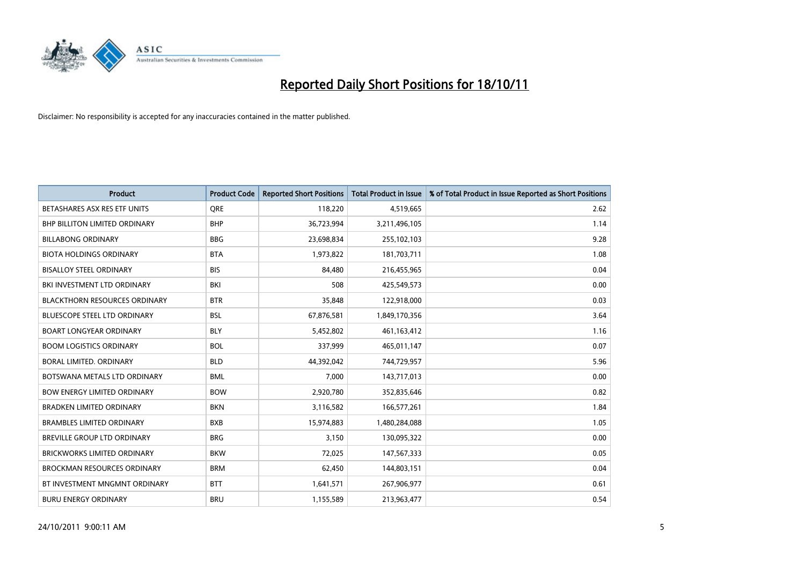

| <b>Product</b>                       | <b>Product Code</b> | <b>Reported Short Positions</b> | <b>Total Product in Issue</b> | % of Total Product in Issue Reported as Short Positions |
|--------------------------------------|---------------------|---------------------------------|-------------------------------|---------------------------------------------------------|
| BETASHARES ASX RES ETF UNITS         | <b>ORE</b>          | 118,220                         | 4,519,665                     | 2.62                                                    |
| <b>BHP BILLITON LIMITED ORDINARY</b> | <b>BHP</b>          | 36,723,994                      | 3,211,496,105                 | 1.14                                                    |
| <b>BILLABONG ORDINARY</b>            | <b>BBG</b>          | 23,698,834                      | 255,102,103                   | 9.28                                                    |
| <b>BIOTA HOLDINGS ORDINARY</b>       | <b>BTA</b>          | 1,973,822                       | 181,703,711                   | 1.08                                                    |
| <b>BISALLOY STEEL ORDINARY</b>       | <b>BIS</b>          | 84.480                          | 216,455,965                   | 0.04                                                    |
| BKI INVESTMENT LTD ORDINARY          | BKI                 | 508                             | 425,549,573                   | 0.00                                                    |
| <b>BLACKTHORN RESOURCES ORDINARY</b> | <b>BTR</b>          | 35,848                          | 122,918,000                   | 0.03                                                    |
| <b>BLUESCOPE STEEL LTD ORDINARY</b>  | <b>BSL</b>          | 67,876,581                      | 1,849,170,356                 | 3.64                                                    |
| <b>BOART LONGYEAR ORDINARY</b>       | <b>BLY</b>          | 5,452,802                       | 461,163,412                   | 1.16                                                    |
| <b>BOOM LOGISTICS ORDINARY</b>       | <b>BOL</b>          | 337,999                         | 465,011,147                   | 0.07                                                    |
| BORAL LIMITED. ORDINARY              | <b>BLD</b>          | 44,392,042                      | 744,729,957                   | 5.96                                                    |
| BOTSWANA METALS LTD ORDINARY         | <b>BML</b>          | 7,000                           | 143,717,013                   | 0.00                                                    |
| <b>BOW ENERGY LIMITED ORDINARY</b>   | <b>BOW</b>          | 2,920,780                       | 352,835,646                   | 0.82                                                    |
| <b>BRADKEN LIMITED ORDINARY</b>      | <b>BKN</b>          | 3,116,582                       | 166,577,261                   | 1.84                                                    |
| <b>BRAMBLES LIMITED ORDINARY</b>     | <b>BXB</b>          | 15,974,883                      | 1,480,284,088                 | 1.05                                                    |
| BREVILLE GROUP LTD ORDINARY          | <b>BRG</b>          | 3,150                           | 130,095,322                   | 0.00                                                    |
| <b>BRICKWORKS LIMITED ORDINARY</b>   | <b>BKW</b>          | 72,025                          | 147,567,333                   | 0.05                                                    |
| <b>BROCKMAN RESOURCES ORDINARY</b>   | <b>BRM</b>          | 62,450                          | 144,803,151                   | 0.04                                                    |
| BT INVESTMENT MNGMNT ORDINARY        | <b>BTT</b>          | 1,641,571                       | 267,906,977                   | 0.61                                                    |
| <b>BURU ENERGY ORDINARY</b>          | <b>BRU</b>          | 1,155,589                       | 213,963,477                   | 0.54                                                    |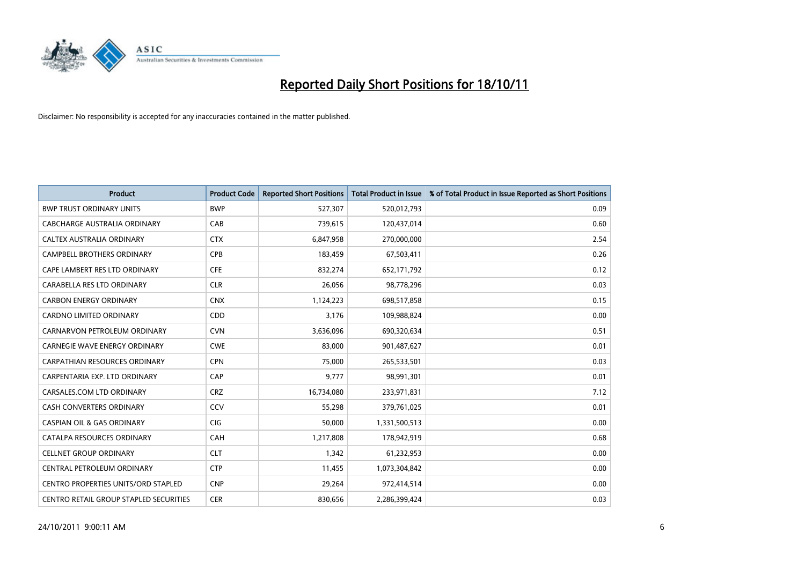

| <b>Product</b>                             | <b>Product Code</b> | <b>Reported Short Positions</b> | <b>Total Product in Issue</b> | % of Total Product in Issue Reported as Short Positions |
|--------------------------------------------|---------------------|---------------------------------|-------------------------------|---------------------------------------------------------|
| <b>BWP TRUST ORDINARY UNITS</b>            | <b>BWP</b>          | 527,307                         | 520,012,793                   | 0.09                                                    |
| CABCHARGE AUSTRALIA ORDINARY               | CAB                 | 739,615                         | 120,437,014                   | 0.60                                                    |
| <b>CALTEX AUSTRALIA ORDINARY</b>           | <b>CTX</b>          | 6,847,958                       | 270,000,000                   | 2.54                                                    |
| CAMPBELL BROTHERS ORDINARY                 | <b>CPB</b>          | 183,459                         | 67,503,411                    | 0.26                                                    |
| CAPE LAMBERT RES LTD ORDINARY              | <b>CFE</b>          | 832,274                         | 652,171,792                   | 0.12                                                    |
| CARABELLA RES LTD ORDINARY                 | <b>CLR</b>          | 26,056                          | 98,778,296                    | 0.03                                                    |
| <b>CARBON ENERGY ORDINARY</b>              | <b>CNX</b>          | 1,124,223                       | 698,517,858                   | 0.15                                                    |
| CARDNO LIMITED ORDINARY                    | CDD                 | 3,176                           | 109,988,824                   | 0.00                                                    |
| CARNARVON PETROLEUM ORDINARY               | <b>CVN</b>          | 3,636,096                       | 690,320,634                   | 0.51                                                    |
| <b>CARNEGIE WAVE ENERGY ORDINARY</b>       | <b>CWE</b>          | 83,000                          | 901,487,627                   | 0.01                                                    |
| CARPATHIAN RESOURCES ORDINARY              | <b>CPN</b>          | 75,000                          | 265,533,501                   | 0.03                                                    |
| CARPENTARIA EXP. LTD ORDINARY              | CAP                 | 9,777                           | 98,991,301                    | 0.01                                                    |
| CARSALES.COM LTD ORDINARY                  | <b>CRZ</b>          | 16,734,080                      | 233,971,831                   | 7.12                                                    |
| CASH CONVERTERS ORDINARY                   | CCV                 | 55,298                          | 379,761,025                   | 0.01                                                    |
| <b>CASPIAN OIL &amp; GAS ORDINARY</b>      | <b>CIG</b>          | 50,000                          | 1,331,500,513                 | 0.00                                                    |
| CATALPA RESOURCES ORDINARY                 | CAH                 | 1,217,808                       | 178,942,919                   | 0.68                                                    |
| <b>CELLNET GROUP ORDINARY</b>              | <b>CLT</b>          | 1,342                           | 61,232,953                    | 0.00                                                    |
| CENTRAL PETROLEUM ORDINARY                 | <b>CTP</b>          | 11,455                          | 1,073,304,842                 | 0.00                                                    |
| <b>CENTRO PROPERTIES UNITS/ORD STAPLED</b> | <b>CNP</b>          | 29,264                          | 972,414,514                   | 0.00                                                    |
| CENTRO RETAIL GROUP STAPLED SECURITIES     | <b>CER</b>          | 830,656                         | 2,286,399,424                 | 0.03                                                    |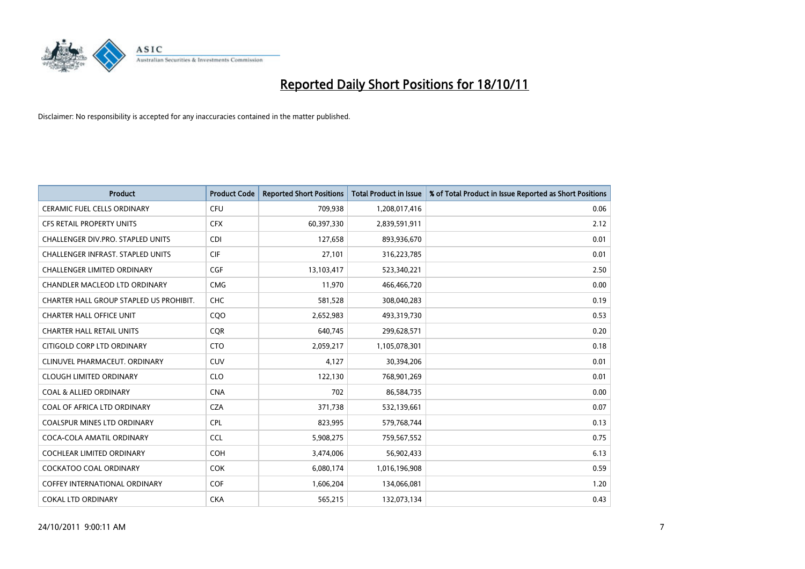

| <b>Product</b>                           | <b>Product Code</b> | <b>Reported Short Positions</b> | <b>Total Product in Issue</b> | % of Total Product in Issue Reported as Short Positions |
|------------------------------------------|---------------------|---------------------------------|-------------------------------|---------------------------------------------------------|
| <b>CERAMIC FUEL CELLS ORDINARY</b>       | <b>CFU</b>          | 709,938                         | 1,208,017,416                 | 0.06                                                    |
| CFS RETAIL PROPERTY UNITS                | <b>CFX</b>          | 60,397,330                      | 2,839,591,911                 | 2.12                                                    |
| CHALLENGER DIV.PRO. STAPLED UNITS        | <b>CDI</b>          | 127,658                         | 893,936,670                   | 0.01                                                    |
| <b>CHALLENGER INFRAST, STAPLED UNITS</b> | <b>CIF</b>          | 27,101                          | 316,223,785                   | 0.01                                                    |
| <b>CHALLENGER LIMITED ORDINARY</b>       | <b>CGF</b>          | 13,103,417                      | 523,340,221                   | 2.50                                                    |
| <b>CHANDLER MACLEOD LTD ORDINARY</b>     | <b>CMG</b>          | 11,970                          | 466,466,720                   | 0.00                                                    |
| CHARTER HALL GROUP STAPLED US PROHIBIT.  | <b>CHC</b>          | 581,528                         | 308,040,283                   | 0.19                                                    |
| <b>CHARTER HALL OFFICE UNIT</b>          | CQO                 | 2,652,983                       | 493,319,730                   | 0.53                                                    |
| <b>CHARTER HALL RETAIL UNITS</b>         | <b>COR</b>          | 640,745                         | 299,628,571                   | 0.20                                                    |
| CITIGOLD CORP LTD ORDINARY               | <b>CTO</b>          | 2,059,217                       | 1,105,078,301                 | 0.18                                                    |
| CLINUVEL PHARMACEUT. ORDINARY            | <b>CUV</b>          | 4,127                           | 30,394,206                    | 0.01                                                    |
| <b>CLOUGH LIMITED ORDINARY</b>           | <b>CLO</b>          | 122,130                         | 768,901,269                   | 0.01                                                    |
| <b>COAL &amp; ALLIED ORDINARY</b>        | <b>CNA</b>          | 702                             | 86,584,735                    | 0.00                                                    |
| COAL OF AFRICA LTD ORDINARY              | <b>CZA</b>          | 371,738                         | 532,139,661                   | 0.07                                                    |
| <b>COALSPUR MINES LTD ORDINARY</b>       | <b>CPL</b>          | 823,995                         | 579,768,744                   | 0.13                                                    |
| COCA-COLA AMATIL ORDINARY                | <b>CCL</b>          | 5,908,275                       | 759,567,552                   | 0.75                                                    |
| <b>COCHLEAR LIMITED ORDINARY</b>         | <b>COH</b>          | 3,474,006                       | 56,902,433                    | 6.13                                                    |
| COCKATOO COAL ORDINARY                   | <b>COK</b>          | 6,080,174                       | 1,016,196,908                 | 0.59                                                    |
| <b>COFFEY INTERNATIONAL ORDINARY</b>     | <b>COF</b>          | 1,606,204                       | 134,066,081                   | 1.20                                                    |
| <b>COKAL LTD ORDINARY</b>                | <b>CKA</b>          | 565,215                         | 132,073,134                   | 0.43                                                    |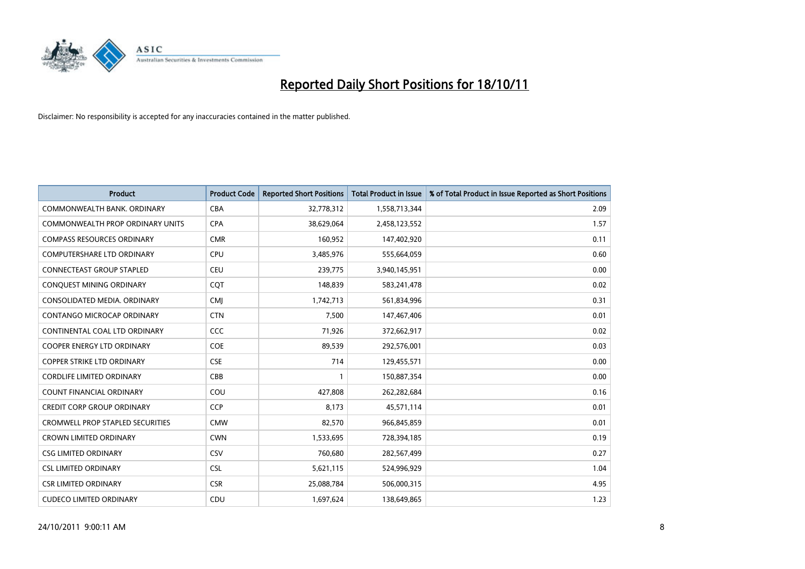

| <b>Product</b>                          | <b>Product Code</b> | <b>Reported Short Positions</b> | <b>Total Product in Issue</b> | % of Total Product in Issue Reported as Short Positions |
|-----------------------------------------|---------------------|---------------------------------|-------------------------------|---------------------------------------------------------|
| COMMONWEALTH BANK, ORDINARY             | <b>CBA</b>          | 32,778,312                      | 1,558,713,344                 | 2.09                                                    |
| COMMONWEALTH PROP ORDINARY UNITS        | <b>CPA</b>          | 38,629,064                      | 2,458,123,552                 | 1.57                                                    |
| <b>COMPASS RESOURCES ORDINARY</b>       | <b>CMR</b>          | 160,952                         | 147,402,920                   | 0.11                                                    |
| COMPUTERSHARE LTD ORDINARY              | <b>CPU</b>          | 3,485,976                       | 555,664,059                   | 0.60                                                    |
| <b>CONNECTEAST GROUP STAPLED</b>        | <b>CEU</b>          | 239,775                         | 3,940,145,951                 | 0.00                                                    |
| CONQUEST MINING ORDINARY                | <b>CQT</b>          | 148,839                         | 583,241,478                   | 0.02                                                    |
| CONSOLIDATED MEDIA, ORDINARY            | <b>CMI</b>          | 1,742,713                       | 561,834,996                   | 0.31                                                    |
| CONTANGO MICROCAP ORDINARY              | <b>CTN</b>          | 7,500                           | 147,467,406                   | 0.01                                                    |
| CONTINENTAL COAL LTD ORDINARY           | CCC                 | 71,926                          | 372,662,917                   | 0.02                                                    |
| <b>COOPER ENERGY LTD ORDINARY</b>       | COE                 | 89,539                          | 292,576,001                   | 0.03                                                    |
| <b>COPPER STRIKE LTD ORDINARY</b>       | <b>CSE</b>          | 714                             | 129,455,571                   | 0.00                                                    |
| <b>CORDLIFE LIMITED ORDINARY</b>        | CBB                 |                                 | 150,887,354                   | 0.00                                                    |
| COUNT FINANCIAL ORDINARY                | COU                 | 427,808                         | 262,282,684                   | 0.16                                                    |
| <b>CREDIT CORP GROUP ORDINARY</b>       | <b>CCP</b>          | 8,173                           | 45,571,114                    | 0.01                                                    |
| <b>CROMWELL PROP STAPLED SECURITIES</b> | <b>CMW</b>          | 82,570                          | 966,845,859                   | 0.01                                                    |
| <b>CROWN LIMITED ORDINARY</b>           | <b>CWN</b>          | 1,533,695                       | 728,394,185                   | 0.19                                                    |
| <b>CSG LIMITED ORDINARY</b>             | CSV                 | 760,680                         | 282,567,499                   | 0.27                                                    |
| <b>CSL LIMITED ORDINARY</b>             | <b>CSL</b>          | 5,621,115                       | 524,996,929                   | 1.04                                                    |
| <b>CSR LIMITED ORDINARY</b>             | <b>CSR</b>          | 25,088,784                      | 506,000,315                   | 4.95                                                    |
| <b>CUDECO LIMITED ORDINARY</b>          | CDU                 | 1,697,624                       | 138,649,865                   | 1.23                                                    |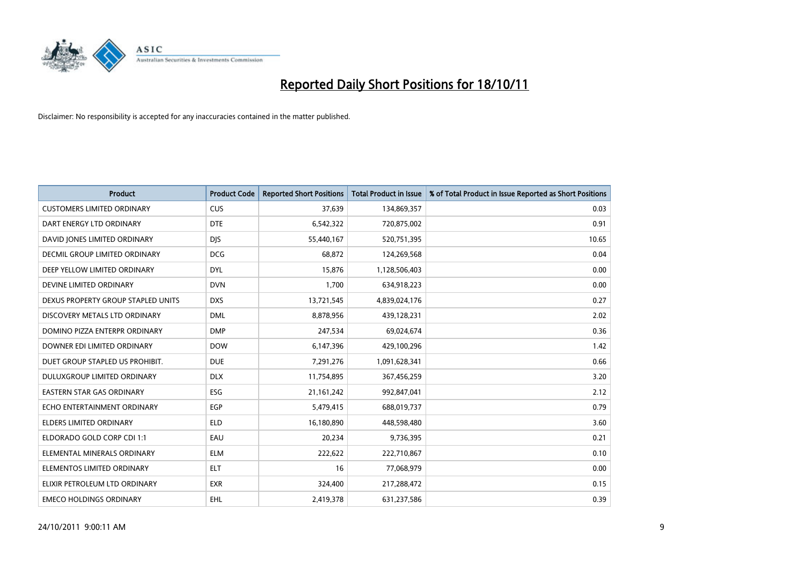

| <b>Product</b>                     | <b>Product Code</b> | <b>Reported Short Positions</b> | <b>Total Product in Issue</b> | % of Total Product in Issue Reported as Short Positions |
|------------------------------------|---------------------|---------------------------------|-------------------------------|---------------------------------------------------------|
| <b>CUSTOMERS LIMITED ORDINARY</b>  | <b>CUS</b>          | 37,639                          | 134,869,357                   | 0.03                                                    |
| DART ENERGY LTD ORDINARY           | <b>DTE</b>          | 6,542,322                       | 720,875,002                   | 0.91                                                    |
| DAVID JONES LIMITED ORDINARY       | <b>DJS</b>          | 55,440,167                      | 520,751,395                   | 10.65                                                   |
| DECMIL GROUP LIMITED ORDINARY      | <b>DCG</b>          | 68,872                          | 124,269,568                   | 0.04                                                    |
| DEEP YELLOW LIMITED ORDINARY       | <b>DYL</b>          | 15,876                          | 1,128,506,403                 | 0.00                                                    |
| DEVINE LIMITED ORDINARY            | <b>DVN</b>          | 1,700                           | 634,918,223                   | 0.00                                                    |
| DEXUS PROPERTY GROUP STAPLED UNITS | <b>DXS</b>          | 13,721,545                      | 4,839,024,176                 | 0.27                                                    |
| DISCOVERY METALS LTD ORDINARY      | <b>DML</b>          | 8,878,956                       | 439,128,231                   | 2.02                                                    |
| DOMINO PIZZA ENTERPR ORDINARY      | <b>DMP</b>          | 247,534                         | 69,024,674                    | 0.36                                                    |
| DOWNER EDI LIMITED ORDINARY        | <b>DOW</b>          | 6,147,396                       | 429,100,296                   | 1.42                                                    |
| DUET GROUP STAPLED US PROHIBIT.    | <b>DUE</b>          | 7,291,276                       | 1,091,628,341                 | 0.66                                                    |
| <b>DULUXGROUP LIMITED ORDINARY</b> | <b>DLX</b>          | 11,754,895                      | 367,456,259                   | 3.20                                                    |
| <b>EASTERN STAR GAS ORDINARY</b>   | ESG                 | 21, 161, 242                    | 992,847,041                   | 2.12                                                    |
| ECHO ENTERTAINMENT ORDINARY        | <b>EGP</b>          | 5,479,415                       | 688,019,737                   | 0.79                                                    |
| <b>ELDERS LIMITED ORDINARY</b>     | <b>ELD</b>          | 16,180,890                      | 448,598,480                   | 3.60                                                    |
| ELDORADO GOLD CORP CDI 1:1         | EAU                 | 20,234                          | 9,736,395                     | 0.21                                                    |
| ELEMENTAL MINERALS ORDINARY        | <b>ELM</b>          | 222,622                         | 222,710,867                   | 0.10                                                    |
| ELEMENTOS LIMITED ORDINARY         | <b>ELT</b>          | 16                              | 77,068,979                    | 0.00                                                    |
| ELIXIR PETROLEUM LTD ORDINARY      | <b>EXR</b>          | 324,400                         | 217,288,472                   | 0.15                                                    |
| <b>EMECO HOLDINGS ORDINARY</b>     | <b>EHL</b>          | 2,419,378                       | 631,237,586                   | 0.39                                                    |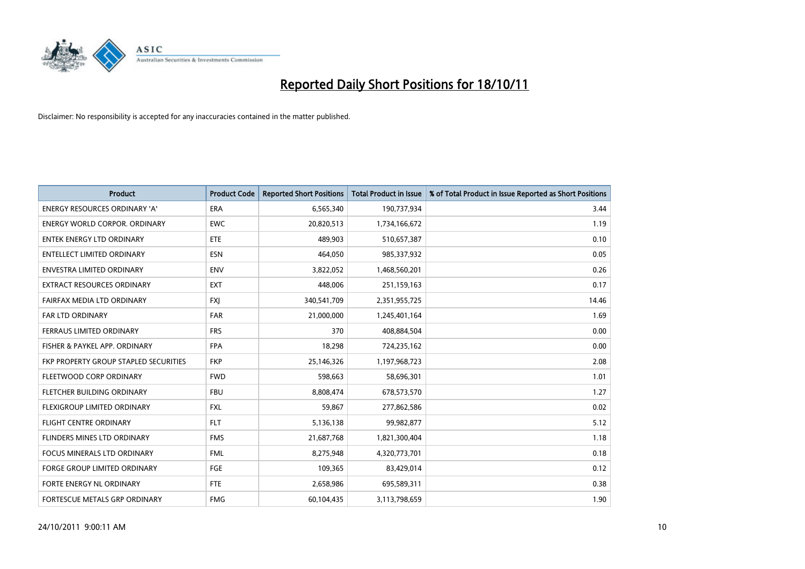

| <b>Product</b>                        | <b>Product Code</b> | <b>Reported Short Positions</b> | <b>Total Product in Issue</b> | % of Total Product in Issue Reported as Short Positions |
|---------------------------------------|---------------------|---------------------------------|-------------------------------|---------------------------------------------------------|
| <b>ENERGY RESOURCES ORDINARY 'A'</b>  | <b>ERA</b>          | 6,565,340                       | 190,737,934                   | 3.44                                                    |
| <b>ENERGY WORLD CORPOR. ORDINARY</b>  | <b>EWC</b>          | 20,820,513                      | 1,734,166,672                 | 1.19                                                    |
| ENTEK ENERGY LTD ORDINARY             | <b>ETE</b>          | 489,903                         | 510,657,387                   | 0.10                                                    |
| <b>ENTELLECT LIMITED ORDINARY</b>     | <b>ESN</b>          | 464,050                         | 985,337,932                   | 0.05                                                    |
| <b>ENVESTRA LIMITED ORDINARY</b>      | <b>ENV</b>          | 3,822,052                       | 1,468,560,201                 | 0.26                                                    |
| <b>EXTRACT RESOURCES ORDINARY</b>     | <b>EXT</b>          | 448.006                         | 251,159,163                   | 0.17                                                    |
| FAIRFAX MEDIA LTD ORDINARY            | <b>FXI</b>          | 340,541,709                     | 2,351,955,725                 | 14.46                                                   |
| <b>FAR LTD ORDINARY</b>               | <b>FAR</b>          | 21,000,000                      | 1,245,401,164                 | 1.69                                                    |
| FERRAUS LIMITED ORDINARY              | <b>FRS</b>          | 370                             | 408,884,504                   | 0.00                                                    |
| FISHER & PAYKEL APP. ORDINARY         | <b>FPA</b>          | 18,298                          | 724,235,162                   | 0.00                                                    |
| FKP PROPERTY GROUP STAPLED SECURITIES | <b>FKP</b>          | 25,146,326                      | 1,197,968,723                 | 2.08                                                    |
| FLEETWOOD CORP ORDINARY               | <b>FWD</b>          | 598,663                         | 58,696,301                    | 1.01                                                    |
| FLETCHER BUILDING ORDINARY            | <b>FBU</b>          | 8,808,474                       | 678,573,570                   | 1.27                                                    |
| <b>FLEXIGROUP LIMITED ORDINARY</b>    | <b>FXL</b>          | 59,867                          | 277,862,586                   | 0.02                                                    |
| <b>FLIGHT CENTRE ORDINARY</b>         | <b>FLT</b>          | 5,136,138                       | 99,982,877                    | 5.12                                                    |
| FLINDERS MINES LTD ORDINARY           | <b>FMS</b>          | 21,687,768                      | 1,821,300,404                 | 1.18                                                    |
| <b>FOCUS MINERALS LTD ORDINARY</b>    | <b>FML</b>          | 8,275,948                       | 4,320,773,701                 | 0.18                                                    |
| FORGE GROUP LIMITED ORDINARY          | FGE                 | 109,365                         | 83,429,014                    | 0.12                                                    |
| FORTE ENERGY NL ORDINARY              | <b>FTE</b>          | 2,658,986                       | 695,589,311                   | 0.38                                                    |
| FORTESCUE METALS GRP ORDINARY         | <b>FMG</b>          | 60,104,435                      | 3,113,798,659                 | 1.90                                                    |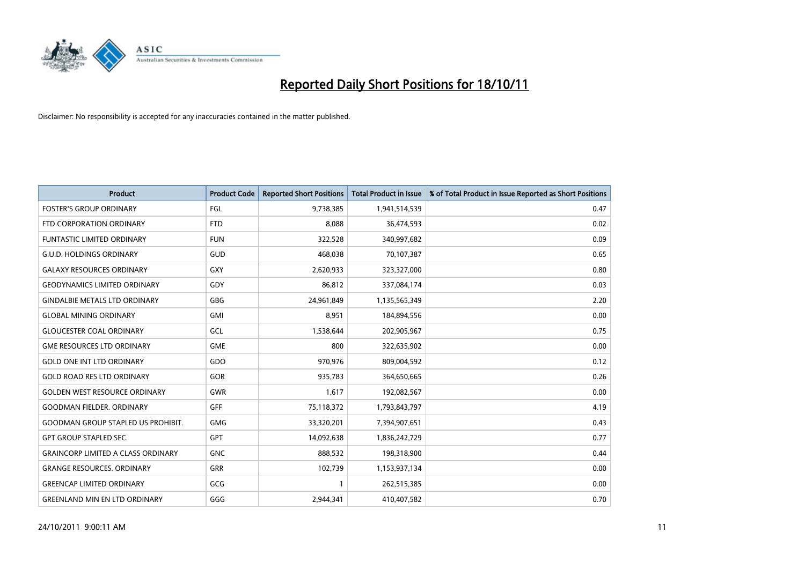

| <b>Product</b>                            | <b>Product Code</b> | <b>Reported Short Positions</b> | <b>Total Product in Issue</b> | % of Total Product in Issue Reported as Short Positions |
|-------------------------------------------|---------------------|---------------------------------|-------------------------------|---------------------------------------------------------|
| <b>FOSTER'S GROUP ORDINARY</b>            | FGL                 | 9,738,385                       | 1,941,514,539                 | 0.47                                                    |
| FTD CORPORATION ORDINARY                  | <b>FTD</b>          | 8,088                           | 36,474,593                    | 0.02                                                    |
| <b>FUNTASTIC LIMITED ORDINARY</b>         | <b>FUN</b>          | 322,528                         | 340,997,682                   | 0.09                                                    |
| <b>G.U.D. HOLDINGS ORDINARY</b>           | GUD                 | 468,038                         | 70,107,387                    | 0.65                                                    |
| <b>GALAXY RESOURCES ORDINARY</b>          | <b>GXY</b>          | 2,620,933                       | 323,327,000                   | 0.80                                                    |
| <b>GEODYNAMICS LIMITED ORDINARY</b>       | GDY                 | 86,812                          | 337,084,174                   | 0.03                                                    |
| <b>GINDALBIE METALS LTD ORDINARY</b>      | <b>GBG</b>          | 24,961,849                      | 1,135,565,349                 | 2.20                                                    |
| <b>GLOBAL MINING ORDINARY</b>             | <b>GMI</b>          | 8,951                           | 184,894,556                   | 0.00                                                    |
| <b>GLOUCESTER COAL ORDINARY</b>           | GCL                 | 1,538,644                       | 202,905,967                   | 0.75                                                    |
| <b>GME RESOURCES LTD ORDINARY</b>         | <b>GME</b>          | 800                             | 322,635,902                   | 0.00                                                    |
| <b>GOLD ONE INT LTD ORDINARY</b>          | GDO                 | 970,976                         | 809,004,592                   | 0.12                                                    |
| <b>GOLD ROAD RES LTD ORDINARY</b>         | GOR                 | 935,783                         | 364,650,665                   | 0.26                                                    |
| <b>GOLDEN WEST RESOURCE ORDINARY</b>      | <b>GWR</b>          | 1,617                           | 192,082,567                   | 0.00                                                    |
| <b>GOODMAN FIELDER, ORDINARY</b>          | <b>GFF</b>          | 75,118,372                      | 1,793,843,797                 | 4.19                                                    |
| <b>GOODMAN GROUP STAPLED US PROHIBIT.</b> | <b>GMG</b>          | 33,320,201                      | 7,394,907,651                 | 0.43                                                    |
| <b>GPT GROUP STAPLED SEC.</b>             | <b>GPT</b>          | 14,092,638                      | 1,836,242,729                 | 0.77                                                    |
| <b>GRAINCORP LIMITED A CLASS ORDINARY</b> | <b>GNC</b>          | 888,532                         | 198,318,900                   | 0.44                                                    |
| <b>GRANGE RESOURCES. ORDINARY</b>         | <b>GRR</b>          | 102,739                         | 1,153,937,134                 | 0.00                                                    |
| <b>GREENCAP LIMITED ORDINARY</b>          | GCG                 | $\mathbf{1}$                    | 262,515,385                   | 0.00                                                    |
| <b>GREENLAND MIN EN LTD ORDINARY</b>      | GGG                 | 2,944,341                       | 410,407,582                   | 0.70                                                    |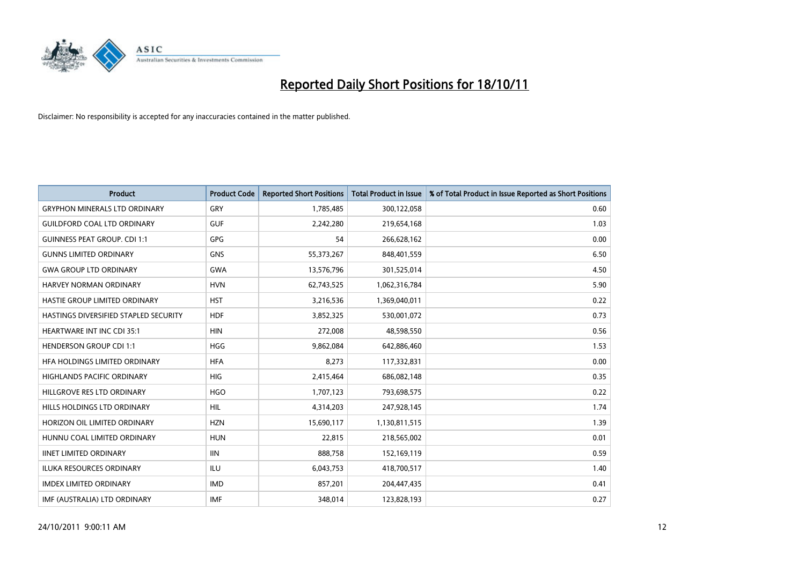

| <b>Product</b>                        | <b>Product Code</b> | <b>Reported Short Positions</b> | <b>Total Product in Issue</b> | % of Total Product in Issue Reported as Short Positions |
|---------------------------------------|---------------------|---------------------------------|-------------------------------|---------------------------------------------------------|
| <b>GRYPHON MINERALS LTD ORDINARY</b>  | <b>GRY</b>          | 1,785,485                       | 300,122,058                   | 0.60                                                    |
| <b>GUILDFORD COAL LTD ORDINARY</b>    | <b>GUF</b>          | 2,242,280                       | 219,654,168                   | 1.03                                                    |
| <b>GUINNESS PEAT GROUP. CDI 1:1</b>   | <b>GPG</b>          | 54                              | 266,628,162                   | 0.00                                                    |
| <b>GUNNS LIMITED ORDINARY</b>         | GNS                 | 55,373,267                      | 848,401,559                   | 6.50                                                    |
| <b>GWA GROUP LTD ORDINARY</b>         | <b>GWA</b>          | 13,576,796                      | 301,525,014                   | 4.50                                                    |
| <b>HARVEY NORMAN ORDINARY</b>         | <b>HVN</b>          | 62,743,525                      | 1,062,316,784                 | 5.90                                                    |
| HASTIE GROUP LIMITED ORDINARY         | <b>HST</b>          | 3,216,536                       | 1,369,040,011                 | 0.22                                                    |
| HASTINGS DIVERSIFIED STAPLED SECURITY | <b>HDF</b>          | 3,852,325                       | 530,001,072                   | 0.73                                                    |
| HEARTWARE INT INC CDI 35:1            | <b>HIN</b>          | 272,008                         | 48,598,550                    | 0.56                                                    |
| <b>HENDERSON GROUP CDI 1:1</b>        | <b>HGG</b>          | 9,862,084                       | 642,886,460                   | 1.53                                                    |
| HFA HOLDINGS LIMITED ORDINARY         | <b>HFA</b>          | 8,273                           | 117,332,831                   | 0.00                                                    |
| <b>HIGHLANDS PACIFIC ORDINARY</b>     | <b>HIG</b>          | 2,415,464                       | 686,082,148                   | 0.35                                                    |
| HILLGROVE RES LTD ORDINARY            | <b>HGO</b>          | 1,707,123                       | 793,698,575                   | 0.22                                                    |
| HILLS HOLDINGS LTD ORDINARY           | <b>HIL</b>          | 4,314,203                       | 247,928,145                   | 1.74                                                    |
| HORIZON OIL LIMITED ORDINARY          | <b>HZN</b>          | 15,690,117                      | 1,130,811,515                 | 1.39                                                    |
| HUNNU COAL LIMITED ORDINARY           | <b>HUN</b>          | 22,815                          | 218,565,002                   | 0.01                                                    |
| <b>IINET LIMITED ORDINARY</b>         | <b>IIN</b>          | 888,758                         | 152,169,119                   | 0.59                                                    |
| ILUKA RESOURCES ORDINARY              | ILU                 | 6,043,753                       | 418,700,517                   | 1.40                                                    |
| <b>IMDEX LIMITED ORDINARY</b>         | <b>IMD</b>          | 857,201                         | 204,447,435                   | 0.41                                                    |
| IMF (AUSTRALIA) LTD ORDINARY          | <b>IMF</b>          | 348.014                         | 123,828,193                   | 0.27                                                    |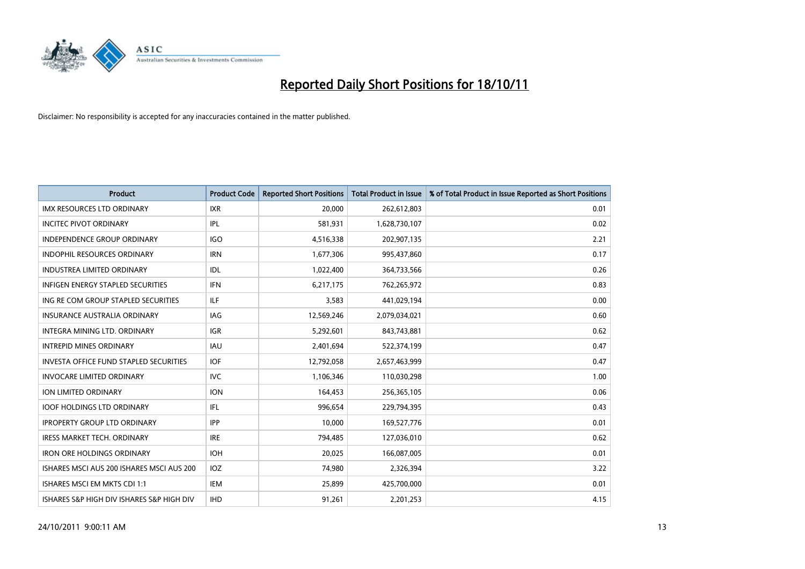

| <b>Product</b>                                | <b>Product Code</b> | <b>Reported Short Positions</b> | <b>Total Product in Issue</b> | % of Total Product in Issue Reported as Short Positions |
|-----------------------------------------------|---------------------|---------------------------------|-------------------------------|---------------------------------------------------------|
| <b>IMX RESOURCES LTD ORDINARY</b>             | <b>IXR</b>          | 20,000                          | 262,612,803                   | 0.01                                                    |
| <b>INCITEC PIVOT ORDINARY</b>                 | <b>IPL</b>          | 581,931                         | 1,628,730,107                 | 0.02                                                    |
| <b>INDEPENDENCE GROUP ORDINARY</b>            | <b>IGO</b>          | 4,516,338                       | 202,907,135                   | 2.21                                                    |
| INDOPHIL RESOURCES ORDINARY                   | <b>IRN</b>          | 1,677,306                       | 995,437,860                   | 0.17                                                    |
| <b>INDUSTREA LIMITED ORDINARY</b>             | IDL                 | 1,022,400                       | 364,733,566                   | 0.26                                                    |
| <b>INFIGEN ENERGY STAPLED SECURITIES</b>      | <b>IFN</b>          | 6,217,175                       | 762,265,972                   | 0.83                                                    |
| ING RE COM GROUP STAPLED SECURITIES           | <b>ILF</b>          | 3,583                           | 441,029,194                   | 0.00                                                    |
| <b>INSURANCE AUSTRALIA ORDINARY</b>           | <b>IAG</b>          | 12,569,246                      | 2,079,034,021                 | 0.60                                                    |
| INTEGRA MINING LTD. ORDINARY                  | <b>IGR</b>          | 5,292,601                       | 843,743,881                   | 0.62                                                    |
| <b>INTREPID MINES ORDINARY</b>                | <b>IAU</b>          | 2,401,694                       | 522,374,199                   | 0.47                                                    |
| <b>INVESTA OFFICE FUND STAPLED SECURITIES</b> | <b>IOF</b>          | 12,792,058                      | 2,657,463,999                 | 0.47                                                    |
| <b>INVOCARE LIMITED ORDINARY</b>              | <b>IVC</b>          | 1,106,346                       | 110,030,298                   | 1.00                                                    |
| <b>ION LIMITED ORDINARY</b>                   | <b>ION</b>          | 164,453                         | 256,365,105                   | 0.06                                                    |
| <b>IOOF HOLDINGS LTD ORDINARY</b>             | <b>IFL</b>          | 996,654                         | 229,794,395                   | 0.43                                                    |
| <b>IPROPERTY GROUP LTD ORDINARY</b>           | <b>IPP</b>          | 10,000                          | 169,527,776                   | 0.01                                                    |
| IRESS MARKET TECH. ORDINARY                   | <b>IRE</b>          | 794,485                         | 127,036,010                   | 0.62                                                    |
| <b>IRON ORE HOLDINGS ORDINARY</b>             | <b>IOH</b>          | 20,025                          | 166,087,005                   | 0.01                                                    |
| ISHARES MSCI AUS 200 ISHARES MSCI AUS 200     | <b>IOZ</b>          | 74,980                          | 2,326,394                     | 3.22                                                    |
| ISHARES MSCI EM MKTS CDI 1:1                  | IEM                 | 25,899                          | 425,700,000                   | 0.01                                                    |
| ISHARES S&P HIGH DIV ISHARES S&P HIGH DIV     | <b>IHD</b>          | 91,261                          | 2.201.253                     | 4.15                                                    |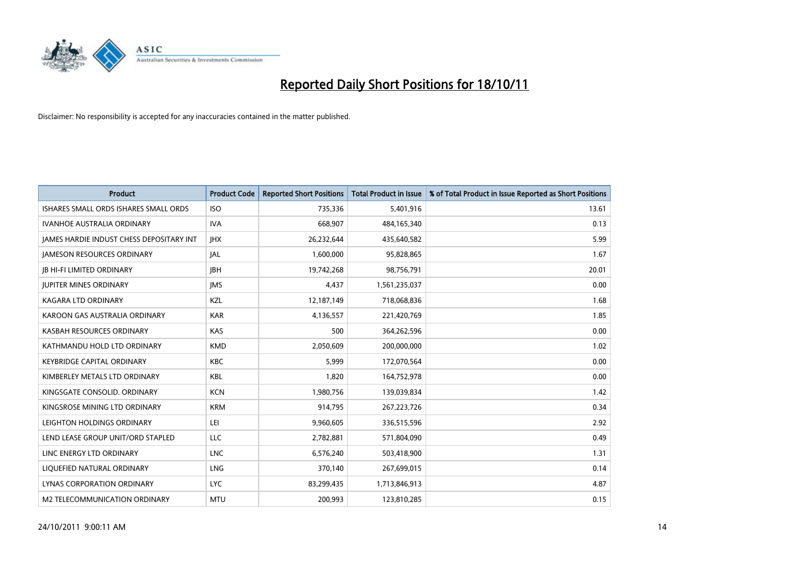

| <b>Product</b>                           | <b>Product Code</b> | <b>Reported Short Positions</b> | <b>Total Product in Issue</b> | % of Total Product in Issue Reported as Short Positions |
|------------------------------------------|---------------------|---------------------------------|-------------------------------|---------------------------------------------------------|
| ISHARES SMALL ORDS ISHARES SMALL ORDS    | <b>ISO</b>          | 735,336                         | 5,401,916                     | 13.61                                                   |
| <b>IVANHOE AUSTRALIA ORDINARY</b>        | <b>IVA</b>          | 668,907                         | 484,165,340                   | 0.13                                                    |
| JAMES HARDIE INDUST CHESS DEPOSITARY INT | <b>IHX</b>          | 26,232,644                      | 435,640,582                   | 5.99                                                    |
| <b>JAMESON RESOURCES ORDINARY</b>        | <b>JAL</b>          | 1,600,000                       | 95,828,865                    | 1.67                                                    |
| <b>IB HI-FI LIMITED ORDINARY</b>         | <b>IBH</b>          | 19,742,268                      | 98,756,791                    | 20.01                                                   |
| <b>JUPITER MINES ORDINARY</b>            | <b>IMS</b>          | 4,437                           | 1,561,235,037                 | 0.00                                                    |
| <b>KAGARA LTD ORDINARY</b>               | <b>KZL</b>          | 12,187,149                      | 718,068,836                   | 1.68                                                    |
| KAROON GAS AUSTRALIA ORDINARY            | <b>KAR</b>          | 4,136,557                       | 221,420,769                   | 1.85                                                    |
| KASBAH RESOURCES ORDINARY                | KAS                 | 500                             | 364,262,596                   | 0.00                                                    |
| KATHMANDU HOLD LTD ORDINARY              | <b>KMD</b>          | 2,050,609                       | 200,000,000                   | 1.02                                                    |
| <b>KEYBRIDGE CAPITAL ORDINARY</b>        | <b>KBC</b>          | 5,999                           | 172,070,564                   | 0.00                                                    |
| KIMBERLEY METALS LTD ORDINARY            | <b>KBL</b>          | 1,820                           | 164,752,978                   | 0.00                                                    |
| KINGSGATE CONSOLID. ORDINARY             | <b>KCN</b>          | 1,980,756                       | 139,039,834                   | 1.42                                                    |
| KINGSROSE MINING LTD ORDINARY            | <b>KRM</b>          | 914,795                         | 267, 223, 726                 | 0.34                                                    |
| LEIGHTON HOLDINGS ORDINARY               | LEI                 | 9,960,605                       | 336,515,596                   | 2.92                                                    |
| LEND LEASE GROUP UNIT/ORD STAPLED        | LLC                 | 2,782,881                       | 571,804,090                   | 0.49                                                    |
| LINC ENERGY LTD ORDINARY                 | <b>LNC</b>          | 6,576,240                       | 503,418,900                   | 1.31                                                    |
| LIQUEFIED NATURAL ORDINARY               | <b>LNG</b>          | 370,140                         | 267,699,015                   | 0.14                                                    |
| <b>LYNAS CORPORATION ORDINARY</b>        | <b>LYC</b>          | 83,299,435                      | 1,713,846,913                 | 4.87                                                    |
| M2 TELECOMMUNICATION ORDINARY            | <b>MTU</b>          | 200.993                         | 123,810,285                   | 0.15                                                    |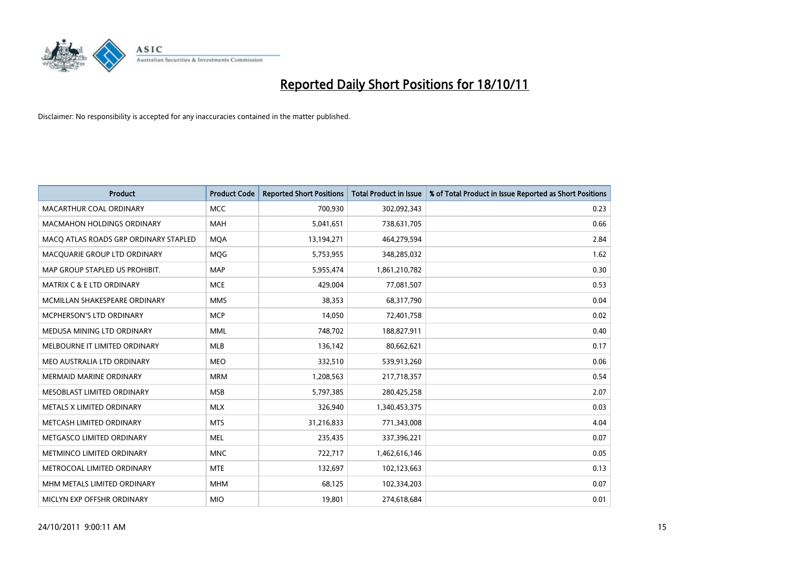

| <b>Product</b>                        | <b>Product Code</b> | <b>Reported Short Positions</b> | <b>Total Product in Issue</b> | % of Total Product in Issue Reported as Short Positions |
|---------------------------------------|---------------------|---------------------------------|-------------------------------|---------------------------------------------------------|
| MACARTHUR COAL ORDINARY               | <b>MCC</b>          | 700,930                         | 302,092,343                   | 0.23                                                    |
| <b>MACMAHON HOLDINGS ORDINARY</b>     | <b>MAH</b>          | 5,041,651                       | 738,631,705                   | 0.66                                                    |
| MACO ATLAS ROADS GRP ORDINARY STAPLED | <b>MOA</b>          | 13,194,271                      | 464,279,594                   | 2.84                                                    |
| MACQUARIE GROUP LTD ORDINARY          | MQG                 | 5,753,955                       | 348,285,032                   | 1.62                                                    |
| MAP GROUP STAPLED US PROHIBIT.        | <b>MAP</b>          | 5,955,474                       | 1,861,210,782                 | 0.30                                                    |
| <b>MATRIX C &amp; E LTD ORDINARY</b>  | <b>MCE</b>          | 429.004                         | 77,081,507                    | 0.53                                                    |
| MCMILLAN SHAKESPEARE ORDINARY         | <b>MMS</b>          | 38,353                          | 68,317,790                    | 0.04                                                    |
| MCPHERSON'S LTD ORDINARY              | <b>MCP</b>          | 14,050                          | 72,401,758                    | 0.02                                                    |
| MEDUSA MINING LTD ORDINARY            | <b>MML</b>          | 748,702                         | 188,827,911                   | 0.40                                                    |
| MELBOURNE IT LIMITED ORDINARY         | <b>MLB</b>          | 136,142                         | 80,662,621                    | 0.17                                                    |
| MEO AUSTRALIA LTD ORDINARY            | <b>MEO</b>          | 332,510                         | 539,913,260                   | 0.06                                                    |
| <b>MERMAID MARINE ORDINARY</b>        | <b>MRM</b>          | 1,208,563                       | 217,718,357                   | 0.54                                                    |
| MESOBLAST LIMITED ORDINARY            | <b>MSB</b>          | 5,797,385                       | 280,425,258                   | 2.07                                                    |
| METALS X LIMITED ORDINARY             | <b>MLX</b>          | 326,940                         | 1,340,453,375                 | 0.03                                                    |
| METCASH LIMITED ORDINARY              | <b>MTS</b>          | 31,216,833                      | 771,343,008                   | 4.04                                                    |
| METGASCO LIMITED ORDINARY             | <b>MEL</b>          | 235,435                         | 337,396,221                   | 0.07                                                    |
| METMINCO LIMITED ORDINARY             | <b>MNC</b>          | 722,717                         | 1,462,616,146                 | 0.05                                                    |
| METROCOAL LIMITED ORDINARY            | <b>MTE</b>          | 132,697                         | 102,123,663                   | 0.13                                                    |
| MHM METALS LIMITED ORDINARY           | <b>MHM</b>          | 68,125                          | 102,334,203                   | 0.07                                                    |
| MICLYN EXP OFFSHR ORDINARY            | <b>MIO</b>          | 19,801                          | 274,618,684                   | 0.01                                                    |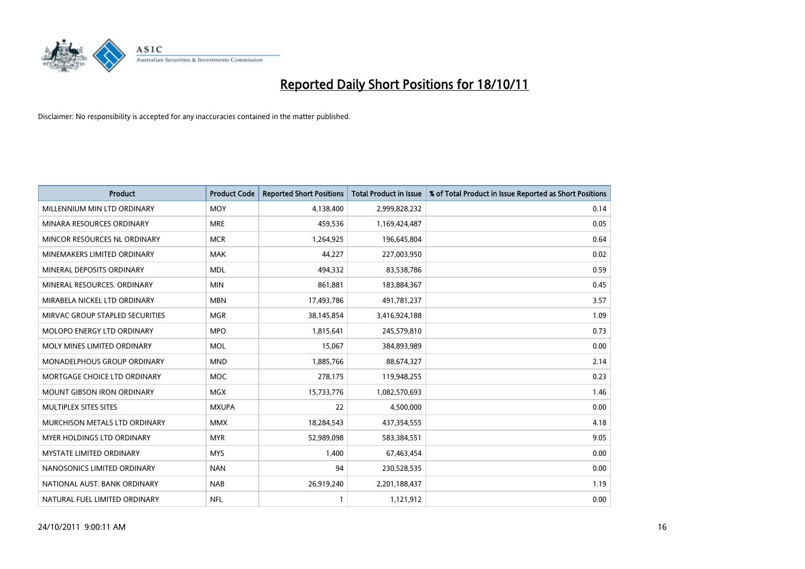

| <b>Product</b>                       | <b>Product Code</b> | <b>Reported Short Positions</b> | <b>Total Product in Issue</b> | % of Total Product in Issue Reported as Short Positions |
|--------------------------------------|---------------------|---------------------------------|-------------------------------|---------------------------------------------------------|
| MILLENNIUM MIN LTD ORDINARY          | <b>MOY</b>          | 4,138,400                       | 2,999,828,232                 | 0.14                                                    |
| MINARA RESOURCES ORDINARY            | <b>MRE</b>          | 459,536                         | 1,169,424,487                 | 0.05                                                    |
| MINCOR RESOURCES NL ORDINARY         | <b>MCR</b>          | 1,264,925                       | 196,645,804                   | 0.64                                                    |
| MINEMAKERS LIMITED ORDINARY          | <b>MAK</b>          | 44,227                          | 227,003,950                   | 0.02                                                    |
| MINERAL DEPOSITS ORDINARY            | <b>MDL</b>          | 494,332                         | 83,538,786                    | 0.59                                                    |
| MINERAL RESOURCES, ORDINARY          | <b>MIN</b>          | 861,881                         | 183,884,367                   | 0.45                                                    |
| MIRABELA NICKEL LTD ORDINARY         | <b>MBN</b>          | 17,493,786                      | 491,781,237                   | 3.57                                                    |
| MIRVAC GROUP STAPLED SECURITIES      | <b>MGR</b>          | 38,145,854                      | 3,416,924,188                 | 1.09                                                    |
| <b>MOLOPO ENERGY LTD ORDINARY</b>    | <b>MPO</b>          | 1,815,641                       | 245,579,810                   | 0.73                                                    |
| MOLY MINES LIMITED ORDINARY          | <b>MOL</b>          | 15,067                          | 384,893,989                   | 0.00                                                    |
| <b>MONADELPHOUS GROUP ORDINARY</b>   | <b>MND</b>          | 1,885,766                       | 88,674,327                    | 2.14                                                    |
| MORTGAGE CHOICE LTD ORDINARY         | <b>MOC</b>          | 278,175                         | 119,948,255                   | 0.23                                                    |
| <b>MOUNT GIBSON IRON ORDINARY</b>    | <b>MGX</b>          | 15,733,776                      | 1,082,570,693                 | 1.46                                                    |
| MULTIPLEX SITES SITES                | <b>MXUPA</b>        | 22                              | 4,500,000                     | 0.00                                                    |
| <b>MURCHISON METALS LTD ORDINARY</b> | <b>MMX</b>          | 18,284,543                      | 437,354,555                   | 4.18                                                    |
| <b>MYER HOLDINGS LTD ORDINARY</b>    | <b>MYR</b>          | 52,989,098                      | 583,384,551                   | 9.05                                                    |
| MYSTATE LIMITED ORDINARY             | <b>MYS</b>          | 1,400                           | 67,463,454                    | 0.00                                                    |
| NANOSONICS LIMITED ORDINARY          | <b>NAN</b>          | 94                              | 230,528,535                   | 0.00                                                    |
| NATIONAL AUST. BANK ORDINARY         | <b>NAB</b>          | 26,919,240                      | 2,201,188,437                 | 1.19                                                    |
| NATURAL FUEL LIMITED ORDINARY        | <b>NFL</b>          |                                 | 1,121,912                     | 0.00                                                    |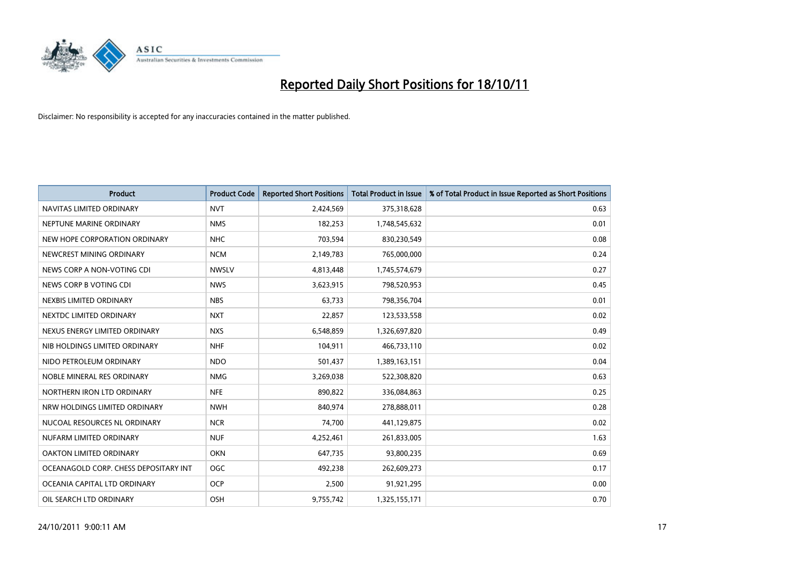

| <b>Product</b>                        | <b>Product Code</b> | <b>Reported Short Positions</b> | <b>Total Product in Issue</b> | % of Total Product in Issue Reported as Short Positions |
|---------------------------------------|---------------------|---------------------------------|-------------------------------|---------------------------------------------------------|
| NAVITAS LIMITED ORDINARY              | <b>NVT</b>          | 2,424,569                       | 375,318,628                   | 0.63                                                    |
| NEPTUNE MARINE ORDINARY               | <b>NMS</b>          | 182,253                         | 1,748,545,632                 | 0.01                                                    |
| NEW HOPE CORPORATION ORDINARY         | NHC                 | 703,594                         | 830,230,549                   | 0.08                                                    |
| NEWCREST MINING ORDINARY              | <b>NCM</b>          | 2,149,783                       | 765,000,000                   | 0.24                                                    |
| NEWS CORP A NON-VOTING CDI            | <b>NWSLV</b>        | 4,813,448                       | 1,745,574,679                 | 0.27                                                    |
| NEWS CORP B VOTING CDI                | <b>NWS</b>          | 3,623,915                       | 798,520,953                   | 0.45                                                    |
| NEXBIS LIMITED ORDINARY               | <b>NBS</b>          | 63,733                          | 798,356,704                   | 0.01                                                    |
| NEXTDC LIMITED ORDINARY               | <b>NXT</b>          | 22,857                          | 123,533,558                   | 0.02                                                    |
| NEXUS ENERGY LIMITED ORDINARY         | <b>NXS</b>          | 6,548,859                       | 1,326,697,820                 | 0.49                                                    |
| NIB HOLDINGS LIMITED ORDINARY         | <b>NHF</b>          | 104,911                         | 466,733,110                   | 0.02                                                    |
| NIDO PETROLEUM ORDINARY               | <b>NDO</b>          | 501,437                         | 1,389,163,151                 | 0.04                                                    |
| NOBLE MINERAL RES ORDINARY            | <b>NMG</b>          | 3,269,038                       | 522,308,820                   | 0.63                                                    |
| NORTHERN IRON LTD ORDINARY            | <b>NFE</b>          | 890,822                         | 336,084,863                   | 0.25                                                    |
| NRW HOLDINGS LIMITED ORDINARY         | <b>NWH</b>          | 840,974                         | 278,888,011                   | 0.28                                                    |
| NUCOAL RESOURCES NL ORDINARY          | <b>NCR</b>          | 74,700                          | 441,129,875                   | 0.02                                                    |
| NUFARM LIMITED ORDINARY               | <b>NUF</b>          | 4,252,461                       | 261,833,005                   | 1.63                                                    |
| OAKTON LIMITED ORDINARY               | <b>OKN</b>          | 647,735                         | 93,800,235                    | 0.69                                                    |
| OCEANAGOLD CORP. CHESS DEPOSITARY INT | <b>OGC</b>          | 492,238                         | 262,609,273                   | 0.17                                                    |
| OCEANIA CAPITAL LTD ORDINARY          | <b>OCP</b>          | 2,500                           | 91,921,295                    | 0.00                                                    |
| OIL SEARCH LTD ORDINARY               | OSH                 | 9,755,742                       | 1,325,155,171                 | 0.70                                                    |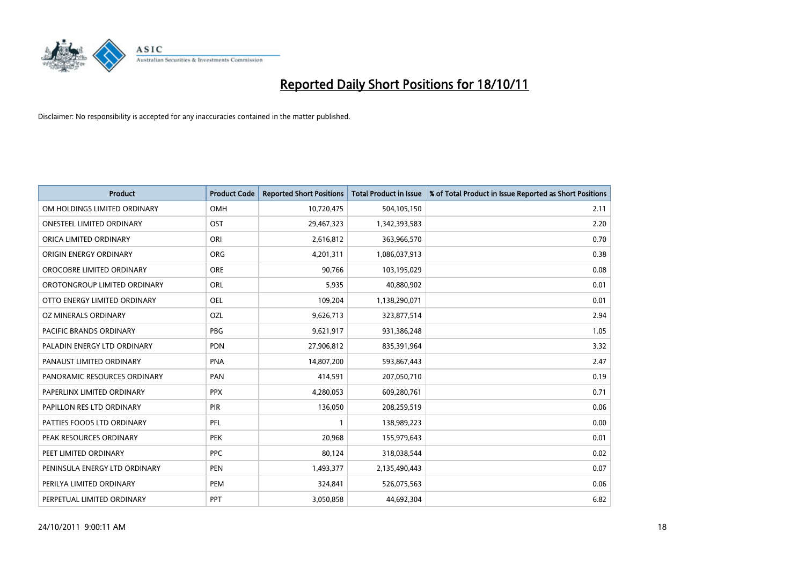

| <b>Product</b>                 | <b>Product Code</b> | <b>Reported Short Positions</b> | <b>Total Product in Issue</b> | % of Total Product in Issue Reported as Short Positions |
|--------------------------------|---------------------|---------------------------------|-------------------------------|---------------------------------------------------------|
| OM HOLDINGS LIMITED ORDINARY   | OMH                 | 10,720,475                      | 504,105,150                   | 2.11                                                    |
| ONESTEEL LIMITED ORDINARY      | OST                 | 29,467,323                      | 1,342,393,583                 | 2.20                                                    |
| ORICA LIMITED ORDINARY         | ORI                 | 2,616,812                       | 363,966,570                   | 0.70                                                    |
| ORIGIN ENERGY ORDINARY         | <b>ORG</b>          | 4,201,311                       | 1,086,037,913                 | 0.38                                                    |
| OROCOBRE LIMITED ORDINARY      | <b>ORE</b>          | 90,766                          | 103,195,029                   | 0.08                                                    |
| OROTONGROUP LIMITED ORDINARY   | ORL                 | 5,935                           | 40,880,902                    | 0.01                                                    |
| OTTO ENERGY LIMITED ORDINARY   | OEL                 | 109,204                         | 1,138,290,071                 | 0.01                                                    |
| OZ MINERALS ORDINARY           | OZL                 | 9,626,713                       | 323,877,514                   | 2.94                                                    |
| <b>PACIFIC BRANDS ORDINARY</b> | <b>PBG</b>          | 9,621,917                       | 931,386,248                   | 1.05                                                    |
| PALADIN ENERGY LTD ORDINARY    | <b>PDN</b>          | 27,906,812                      | 835,391,964                   | 3.32                                                    |
| PANAUST LIMITED ORDINARY       | <b>PNA</b>          | 14,807,200                      | 593,867,443                   | 2.47                                                    |
| PANORAMIC RESOURCES ORDINARY   | PAN                 | 414,591                         | 207,050,710                   | 0.19                                                    |
| PAPERLINX LIMITED ORDINARY     | <b>PPX</b>          | 4,280,053                       | 609,280,761                   | 0.71                                                    |
| PAPILLON RES LTD ORDINARY      | <b>PIR</b>          | 136,050                         | 208,259,519                   | 0.06                                                    |
| PATTIES FOODS LTD ORDINARY     | PFL                 |                                 | 138,989,223                   | 0.00                                                    |
| PEAK RESOURCES ORDINARY        | <b>PEK</b>          | 20,968                          | 155,979,643                   | 0.01                                                    |
| PEET LIMITED ORDINARY          | <b>PPC</b>          | 80,124                          | 318,038,544                   | 0.02                                                    |
| PENINSULA ENERGY LTD ORDINARY  | <b>PEN</b>          | 1,493,377                       | 2,135,490,443                 | 0.07                                                    |
| PERILYA LIMITED ORDINARY       | PEM                 | 324,841                         | 526,075,563                   | 0.06                                                    |
| PERPETUAL LIMITED ORDINARY     | PPT                 | 3,050,858                       | 44,692,304                    | 6.82                                                    |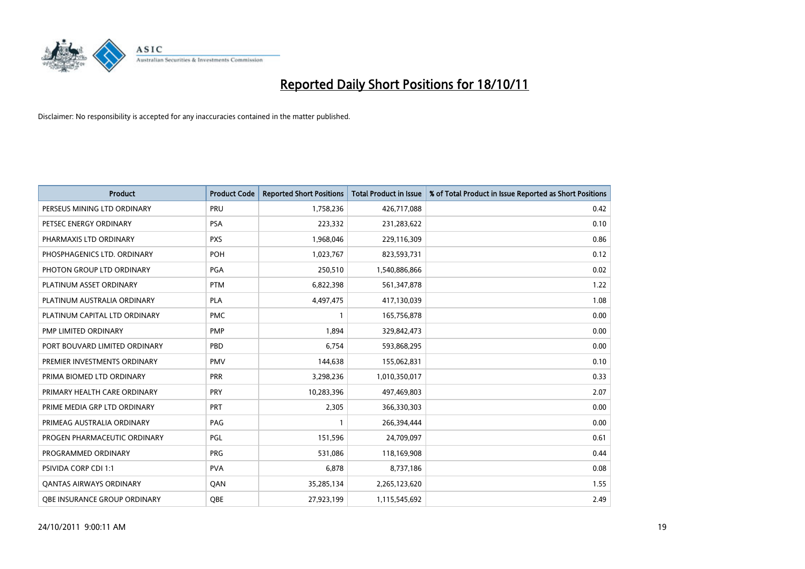

| <b>Product</b>                | <b>Product Code</b> | <b>Reported Short Positions</b> | <b>Total Product in Issue</b> | % of Total Product in Issue Reported as Short Positions |
|-------------------------------|---------------------|---------------------------------|-------------------------------|---------------------------------------------------------|
| PERSEUS MINING LTD ORDINARY   | PRU                 | 1,758,236                       | 426,717,088                   | 0.42                                                    |
| PETSEC ENERGY ORDINARY        | <b>PSA</b>          | 223,332                         | 231,283,622                   | 0.10                                                    |
| PHARMAXIS LTD ORDINARY        | <b>PXS</b>          | 1,968,046                       | 229,116,309                   | 0.86                                                    |
| PHOSPHAGENICS LTD. ORDINARY   | POH                 | 1,023,767                       | 823,593,731                   | 0.12                                                    |
| PHOTON GROUP LTD ORDINARY     | <b>PGA</b>          | 250,510                         | 1,540,886,866                 | 0.02                                                    |
| PLATINUM ASSET ORDINARY       | <b>PTM</b>          | 6,822,398                       | 561,347,878                   | 1.22                                                    |
| PLATINUM AUSTRALIA ORDINARY   | <b>PLA</b>          | 4,497,475                       | 417,130,039                   | 1.08                                                    |
| PLATINUM CAPITAL LTD ORDINARY | <b>PMC</b>          |                                 | 165,756,878                   | 0.00                                                    |
| PMP LIMITED ORDINARY          | <b>PMP</b>          | 1,894                           | 329,842,473                   | 0.00                                                    |
| PORT BOUVARD LIMITED ORDINARY | PBD                 | 6,754                           | 593,868,295                   | 0.00                                                    |
| PREMIER INVESTMENTS ORDINARY  | <b>PMV</b>          | 144,638                         | 155,062,831                   | 0.10                                                    |
| PRIMA BIOMED LTD ORDINARY     | PRR                 | 3,298,236                       | 1,010,350,017                 | 0.33                                                    |
| PRIMARY HEALTH CARE ORDINARY  | PRY                 | 10,283,396                      | 497,469,803                   | 2.07                                                    |
| PRIME MEDIA GRP LTD ORDINARY  | <b>PRT</b>          | 2,305                           | 366,330,303                   | 0.00                                                    |
| PRIMEAG AUSTRALIA ORDINARY    | PAG                 |                                 | 266,394,444                   | 0.00                                                    |
| PROGEN PHARMACEUTIC ORDINARY  | PGL                 | 151,596                         | 24,709,097                    | 0.61                                                    |
| PROGRAMMED ORDINARY           | <b>PRG</b>          | 531,086                         | 118,169,908                   | 0.44                                                    |
| PSIVIDA CORP CDI 1:1          | <b>PVA</b>          | 6,878                           | 8,737,186                     | 0.08                                                    |
| OANTAS AIRWAYS ORDINARY       | QAN                 | 35,285,134                      | 2,265,123,620                 | 1.55                                                    |
| OBE INSURANCE GROUP ORDINARY  | <b>OBE</b>          | 27,923,199                      | 1,115,545,692                 | 2.49                                                    |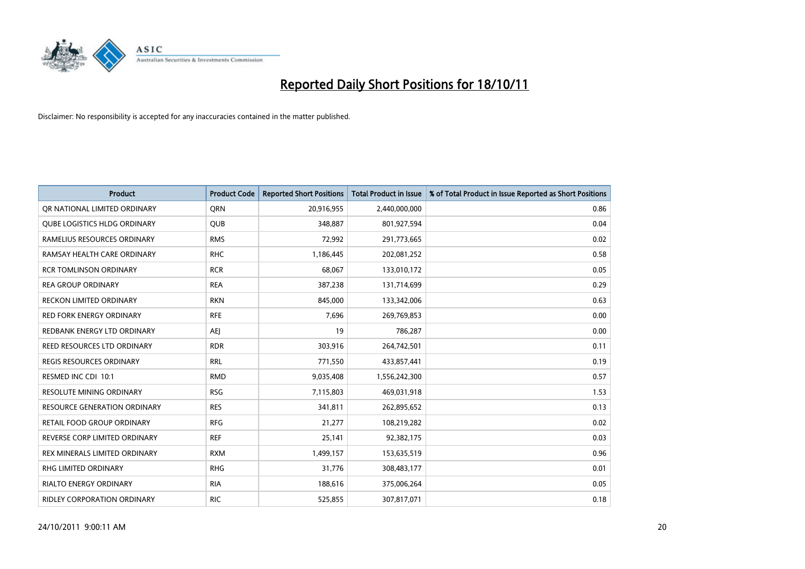

| <b>Product</b>                      | <b>Product Code</b> | <b>Reported Short Positions</b> | <b>Total Product in Issue</b> | % of Total Product in Issue Reported as Short Positions |
|-------------------------------------|---------------------|---------------------------------|-------------------------------|---------------------------------------------------------|
| OR NATIONAL LIMITED ORDINARY        | <b>ORN</b>          | 20,916,955                      | 2,440,000,000                 | 0.86                                                    |
| <b>QUBE LOGISTICS HLDG ORDINARY</b> | QUB                 | 348,887                         | 801,927,594                   | 0.04                                                    |
| RAMELIUS RESOURCES ORDINARY         | <b>RMS</b>          | 72,992                          | 291,773,665                   | 0.02                                                    |
| RAMSAY HEALTH CARE ORDINARY         | <b>RHC</b>          | 1,186,445                       | 202,081,252                   | 0.58                                                    |
| <b>RCR TOMLINSON ORDINARY</b>       | <b>RCR</b>          | 68,067                          | 133,010,172                   | 0.05                                                    |
| <b>REA GROUP ORDINARY</b>           | <b>REA</b>          | 387,238                         | 131,714,699                   | 0.29                                                    |
| RECKON LIMITED ORDINARY             | <b>RKN</b>          | 845.000                         | 133,342,006                   | 0.63                                                    |
| RED FORK ENERGY ORDINARY            | <b>RFE</b>          | 7,696                           | 269,769,853                   | 0.00                                                    |
| REDBANK ENERGY LTD ORDINARY         | AEI                 | 19                              | 786,287                       | 0.00                                                    |
| REED RESOURCES LTD ORDINARY         | <b>RDR</b>          | 303,916                         | 264,742,501                   | 0.11                                                    |
| REGIS RESOURCES ORDINARY            | <b>RRL</b>          | 771,550                         | 433,857,441                   | 0.19                                                    |
| RESMED INC CDI 10:1                 | <b>RMD</b>          | 9,035,408                       | 1,556,242,300                 | 0.57                                                    |
| RESOLUTE MINING ORDINARY            | <b>RSG</b>          | 7,115,803                       | 469,031,918                   | 1.53                                                    |
| <b>RESOURCE GENERATION ORDINARY</b> | <b>RES</b>          | 341,811                         | 262,895,652                   | 0.13                                                    |
| RETAIL FOOD GROUP ORDINARY          | <b>RFG</b>          | 21,277                          | 108,219,282                   | 0.02                                                    |
| REVERSE CORP LIMITED ORDINARY       | <b>REF</b>          | 25,141                          | 92,382,175                    | 0.03                                                    |
| REX MINERALS LIMITED ORDINARY       | <b>RXM</b>          | 1,499,157                       | 153,635,519                   | 0.96                                                    |
| RHG LIMITED ORDINARY                | <b>RHG</b>          | 31,776                          | 308,483,177                   | 0.01                                                    |
| <b>RIALTO ENERGY ORDINARY</b>       | <b>RIA</b>          | 188,616                         | 375,006,264                   | 0.05                                                    |
| <b>RIDLEY CORPORATION ORDINARY</b>  | <b>RIC</b>          | 525.855                         | 307,817,071                   | 0.18                                                    |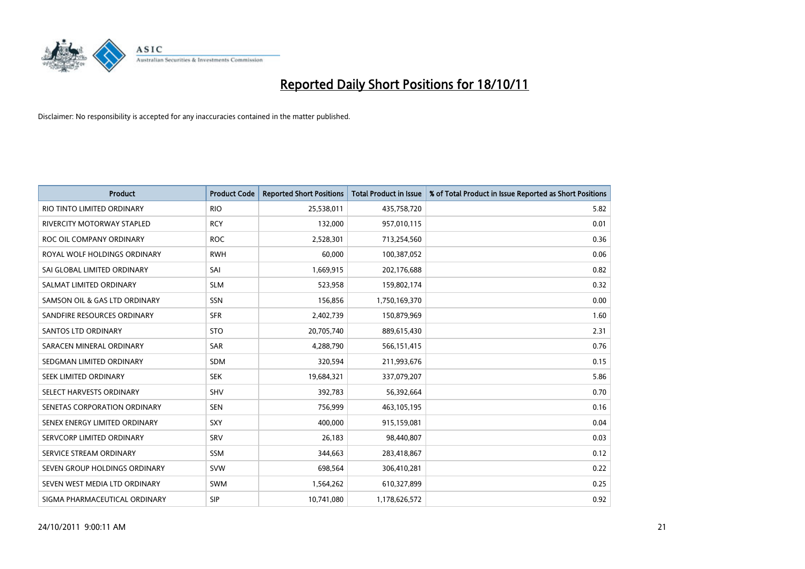

| <b>Product</b>                | <b>Product Code</b> | <b>Reported Short Positions</b> | <b>Total Product in Issue</b> | % of Total Product in Issue Reported as Short Positions |
|-------------------------------|---------------------|---------------------------------|-------------------------------|---------------------------------------------------------|
| RIO TINTO LIMITED ORDINARY    | <b>RIO</b>          | 25,538,011                      | 435,758,720                   | 5.82                                                    |
| RIVERCITY MOTORWAY STAPLED    | <b>RCY</b>          | 132,000                         | 957,010,115                   | 0.01                                                    |
| ROC OIL COMPANY ORDINARY      | <b>ROC</b>          | 2,528,301                       | 713,254,560                   | 0.36                                                    |
| ROYAL WOLF HOLDINGS ORDINARY  | <b>RWH</b>          | 60,000                          | 100,387,052                   | 0.06                                                    |
| SAI GLOBAL LIMITED ORDINARY   | SAI                 | 1,669,915                       | 202,176,688                   | 0.82                                                    |
| SALMAT LIMITED ORDINARY       | <b>SLM</b>          | 523,958                         | 159,802,174                   | 0.32                                                    |
| SAMSON OIL & GAS LTD ORDINARY | <b>SSN</b>          | 156,856                         | 1,750,169,370                 | 0.00                                                    |
| SANDFIRE RESOURCES ORDINARY   | <b>SFR</b>          | 2,402,739                       | 150,879,969                   | 1.60                                                    |
| SANTOS LTD ORDINARY           | <b>STO</b>          | 20,705,740                      | 889,615,430                   | 2.31                                                    |
| SARACEN MINERAL ORDINARY      | <b>SAR</b>          | 4,288,790                       | 566,151,415                   | 0.76                                                    |
| SEDGMAN LIMITED ORDINARY      | <b>SDM</b>          | 320,594                         | 211,993,676                   | 0.15                                                    |
| <b>SEEK LIMITED ORDINARY</b>  | <b>SEK</b>          | 19,684,321                      | 337,079,207                   | 5.86                                                    |
| SELECT HARVESTS ORDINARY      | <b>SHV</b>          | 392,783                         | 56,392,664                    | 0.70                                                    |
| SENETAS CORPORATION ORDINARY  | <b>SEN</b>          | 756,999                         | 463,105,195                   | 0.16                                                    |
| SENEX ENERGY LIMITED ORDINARY | SXY                 | 400,000                         | 915,159,081                   | 0.04                                                    |
| SERVCORP LIMITED ORDINARY     | SRV                 | 26,183                          | 98,440,807                    | 0.03                                                    |
| SERVICE STREAM ORDINARY       | <b>SSM</b>          | 344,663                         | 283,418,867                   | 0.12                                                    |
| SEVEN GROUP HOLDINGS ORDINARY | <b>SVW</b>          | 698,564                         | 306,410,281                   | 0.22                                                    |
| SEVEN WEST MEDIA LTD ORDINARY | <b>SWM</b>          | 1,564,262                       | 610,327,899                   | 0.25                                                    |
| SIGMA PHARMACEUTICAL ORDINARY | <b>SIP</b>          | 10,741,080                      | 1,178,626,572                 | 0.92                                                    |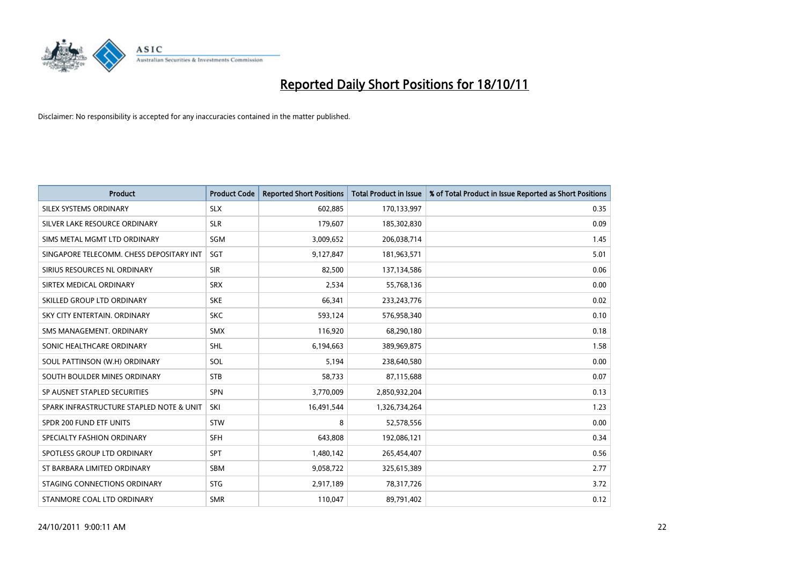

| <b>Product</b>                           | <b>Product Code</b> | <b>Reported Short Positions</b> | <b>Total Product in Issue</b> | % of Total Product in Issue Reported as Short Positions |
|------------------------------------------|---------------------|---------------------------------|-------------------------------|---------------------------------------------------------|
| SILEX SYSTEMS ORDINARY                   | <b>SLX</b>          | 602,885                         | 170,133,997                   | 0.35                                                    |
| SILVER LAKE RESOURCE ORDINARY            | <b>SLR</b>          | 179,607                         | 185,302,830                   | 0.09                                                    |
| SIMS METAL MGMT LTD ORDINARY             | SGM                 | 3,009,652                       | 206,038,714                   | 1.45                                                    |
| SINGAPORE TELECOMM. CHESS DEPOSITARY INT | <b>SGT</b>          | 9,127,847                       | 181,963,571                   | 5.01                                                    |
| SIRIUS RESOURCES NL ORDINARY             | <b>SIR</b>          | 82,500                          | 137,134,586                   | 0.06                                                    |
| SIRTEX MEDICAL ORDINARY                  | <b>SRX</b>          | 2,534                           | 55,768,136                    | 0.00                                                    |
| SKILLED GROUP LTD ORDINARY               | <b>SKE</b>          | 66,341                          | 233, 243, 776                 | 0.02                                                    |
| SKY CITY ENTERTAIN. ORDINARY             | <b>SKC</b>          | 593,124                         | 576,958,340                   | 0.10                                                    |
| SMS MANAGEMENT, ORDINARY                 | <b>SMX</b>          | 116,920                         | 68,290,180                    | 0.18                                                    |
| SONIC HEALTHCARE ORDINARY                | <b>SHL</b>          | 6,194,663                       | 389,969,875                   | 1.58                                                    |
| SOUL PATTINSON (W.H) ORDINARY            | SOL                 | 5,194                           | 238,640,580                   | 0.00                                                    |
| SOUTH BOULDER MINES ORDINARY             | <b>STB</b>          | 58,733                          | 87,115,688                    | 0.07                                                    |
| SP AUSNET STAPLED SECURITIES             | <b>SPN</b>          | 3,770,009                       | 2,850,932,204                 | 0.13                                                    |
| SPARK INFRASTRUCTURE STAPLED NOTE & UNIT | SKI                 | 16,491,544                      | 1,326,734,264                 | 1.23                                                    |
| SPDR 200 FUND ETF UNITS                  | <b>STW</b>          | 8                               | 52,578,556                    | 0.00                                                    |
| SPECIALTY FASHION ORDINARY               | <b>SFH</b>          | 643,808                         | 192,086,121                   | 0.34                                                    |
| SPOTLESS GROUP LTD ORDINARY              | <b>SPT</b>          | 1,480,142                       | 265,454,407                   | 0.56                                                    |
| ST BARBARA LIMITED ORDINARY              | <b>SBM</b>          | 9,058,722                       | 325,615,389                   | 2.77                                                    |
| STAGING CONNECTIONS ORDINARY             | <b>STG</b>          | 2,917,189                       | 78,317,726                    | 3.72                                                    |
| STANMORE COAL LTD ORDINARY               | <b>SMR</b>          | 110,047                         | 89,791,402                    | 0.12                                                    |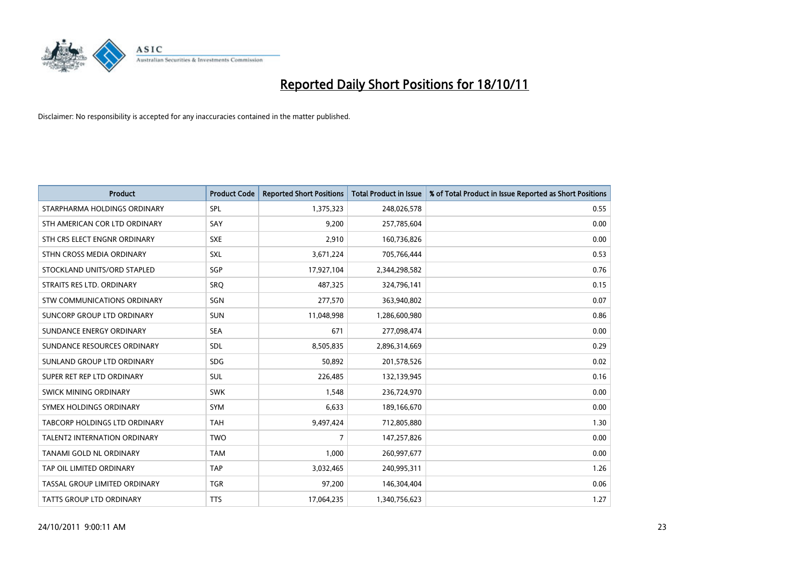

| <b>Product</b>                | <b>Product Code</b> | <b>Reported Short Positions</b> | <b>Total Product in Issue</b> | % of Total Product in Issue Reported as Short Positions |
|-------------------------------|---------------------|---------------------------------|-------------------------------|---------------------------------------------------------|
| STARPHARMA HOLDINGS ORDINARY  | SPL                 | 1,375,323                       | 248,026,578                   | 0.55                                                    |
| STH AMERICAN COR LTD ORDINARY | SAY                 | 9,200                           | 257,785,604                   | 0.00                                                    |
| STH CRS ELECT ENGNR ORDINARY  | <b>SXE</b>          | 2,910                           | 160,736,826                   | 0.00                                                    |
| STHN CROSS MEDIA ORDINARY     | <b>SXL</b>          | 3,671,224                       | 705,766,444                   | 0.53                                                    |
| STOCKLAND UNITS/ORD STAPLED   | SGP                 | 17,927,104                      | 2,344,298,582                 | 0.76                                                    |
| STRAITS RES LTD. ORDINARY     | SRO                 | 487,325                         | 324,796,141                   | 0.15                                                    |
| STW COMMUNICATIONS ORDINARY   | SGN                 | 277,570                         | 363,940,802                   | 0.07                                                    |
| SUNCORP GROUP LTD ORDINARY    | <b>SUN</b>          | 11,048,998                      | 1,286,600,980                 | 0.86                                                    |
| SUNDANCE ENERGY ORDINARY      | <b>SEA</b>          | 671                             | 277,098,474                   | 0.00                                                    |
| SUNDANCE RESOURCES ORDINARY   | <b>SDL</b>          | 8,505,835                       | 2,896,314,669                 | 0.29                                                    |
| SUNLAND GROUP LTD ORDINARY    | <b>SDG</b>          | 50,892                          | 201,578,526                   | 0.02                                                    |
| SUPER RET REP LTD ORDINARY    | <b>SUL</b>          | 226,485                         | 132,139,945                   | 0.16                                                    |
| SWICK MINING ORDINARY         | <b>SWK</b>          | 1,548                           | 236,724,970                   | 0.00                                                    |
| SYMEX HOLDINGS ORDINARY       | <b>SYM</b>          | 6,633                           | 189,166,670                   | 0.00                                                    |
| TABCORP HOLDINGS LTD ORDINARY | <b>TAH</b>          | 9,497,424                       | 712,805,880                   | 1.30                                                    |
| TALENT2 INTERNATION ORDINARY  | <b>TWO</b>          | 7                               | 147,257,826                   | 0.00                                                    |
| TANAMI GOLD NL ORDINARY       | <b>TAM</b>          | 1,000                           | 260,997,677                   | 0.00                                                    |
| TAP OIL LIMITED ORDINARY      | <b>TAP</b>          | 3,032,465                       | 240,995,311                   | 1.26                                                    |
| TASSAL GROUP LIMITED ORDINARY | <b>TGR</b>          | 97,200                          | 146,304,404                   | 0.06                                                    |
| TATTS GROUP LTD ORDINARY      | <b>TTS</b>          | 17,064,235                      | 1,340,756,623                 | 1.27                                                    |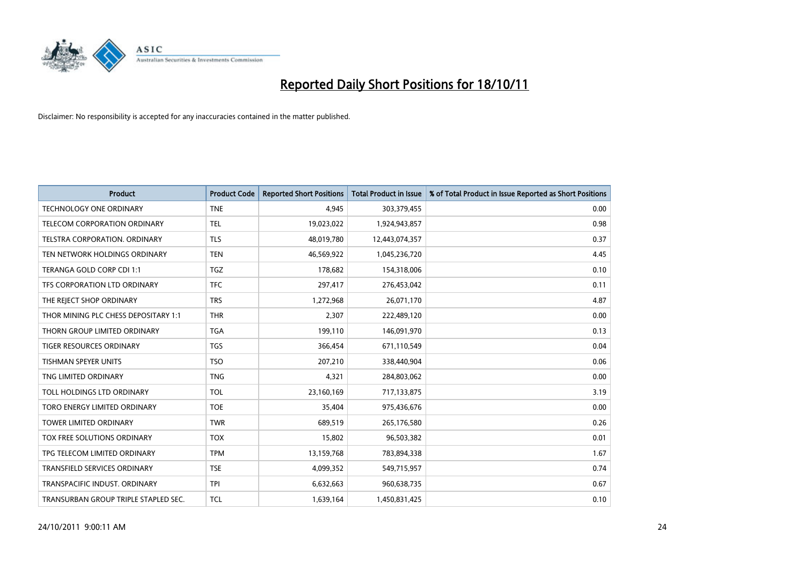

| <b>Product</b>                       | <b>Product Code</b> | <b>Reported Short Positions</b> | <b>Total Product in Issue</b> | % of Total Product in Issue Reported as Short Positions |
|--------------------------------------|---------------------|---------------------------------|-------------------------------|---------------------------------------------------------|
| <b>TECHNOLOGY ONE ORDINARY</b>       | <b>TNE</b>          | 4,945                           | 303,379,455                   | 0.00                                                    |
| TELECOM CORPORATION ORDINARY         | <b>TEL</b>          | 19,023,022                      | 1,924,943,857                 | 0.98                                                    |
| <b>TELSTRA CORPORATION, ORDINARY</b> | <b>TLS</b>          | 48,019,780                      | 12,443,074,357                | 0.37                                                    |
| TEN NETWORK HOLDINGS ORDINARY        | <b>TEN</b>          | 46,569,922                      | 1,045,236,720                 | 4.45                                                    |
| TERANGA GOLD CORP CDI 1:1            | <b>TGZ</b>          | 178,682                         | 154,318,006                   | 0.10                                                    |
| TFS CORPORATION LTD ORDINARY         | <b>TFC</b>          | 297,417                         | 276,453,042                   | 0.11                                                    |
| THE REJECT SHOP ORDINARY             | <b>TRS</b>          | 1,272,968                       | 26,071,170                    | 4.87                                                    |
| THOR MINING PLC CHESS DEPOSITARY 1:1 | <b>THR</b>          | 2,307                           | 222,489,120                   | 0.00                                                    |
| THORN GROUP LIMITED ORDINARY         | <b>TGA</b>          | 199,110                         | 146,091,970                   | 0.13                                                    |
| <b>TIGER RESOURCES ORDINARY</b>      | <b>TGS</b>          | 366,454                         | 671,110,549                   | 0.04                                                    |
| <b>TISHMAN SPEYER UNITS</b>          | <b>TSO</b>          | 207,210                         | 338,440,904                   | 0.06                                                    |
| TNG LIMITED ORDINARY                 | <b>TNG</b>          | 4,321                           | 284,803,062                   | 0.00                                                    |
| TOLL HOLDINGS LTD ORDINARY           | <b>TOL</b>          | 23,160,169                      | 717,133,875                   | 3.19                                                    |
| TORO ENERGY LIMITED ORDINARY         | <b>TOE</b>          | 35,404                          | 975,436,676                   | 0.00                                                    |
| <b>TOWER LIMITED ORDINARY</b>        | <b>TWR</b>          | 689,519                         | 265,176,580                   | 0.26                                                    |
| TOX FREE SOLUTIONS ORDINARY          | <b>TOX</b>          | 15,802                          | 96,503,382                    | 0.01                                                    |
| TPG TELECOM LIMITED ORDINARY         | <b>TPM</b>          | 13,159,768                      | 783,894,338                   | 1.67                                                    |
| TRANSFIELD SERVICES ORDINARY         | <b>TSE</b>          | 4,099,352                       | 549,715,957                   | 0.74                                                    |
| TRANSPACIFIC INDUST. ORDINARY        | <b>TPI</b>          | 6,632,663                       | 960,638,735                   | 0.67                                                    |
| TRANSURBAN GROUP TRIPLE STAPLED SEC. | <b>TCL</b>          | 1,639,164                       | 1,450,831,425                 | 0.10                                                    |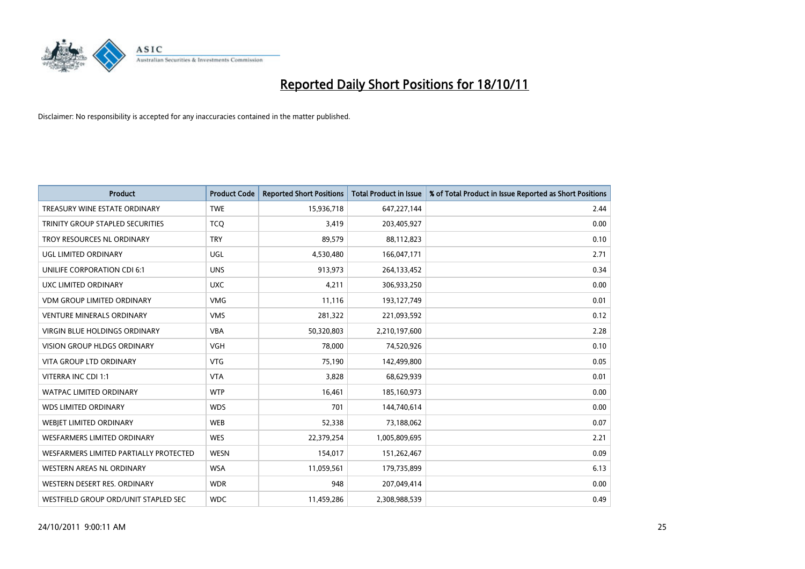

| <b>Product</b>                          | <b>Product Code</b> | <b>Reported Short Positions</b> | <b>Total Product in Issue</b> | % of Total Product in Issue Reported as Short Positions |
|-----------------------------------------|---------------------|---------------------------------|-------------------------------|---------------------------------------------------------|
| TREASURY WINE ESTATE ORDINARY           | <b>TWE</b>          | 15,936,718                      | 647,227,144                   | 2.44                                                    |
| <b>TRINITY GROUP STAPLED SECURITIES</b> | <b>TCO</b>          | 3,419                           | 203,405,927                   | 0.00                                                    |
| <b>TROY RESOURCES NL ORDINARY</b>       | <b>TRY</b>          | 89,579                          | 88,112,823                    | 0.10                                                    |
| <b>UGL LIMITED ORDINARY</b>             | <b>UGL</b>          | 4,530,480                       | 166,047,171                   | 2.71                                                    |
| UNILIFE CORPORATION CDI 6:1             | <b>UNS</b>          | 913,973                         | 264,133,452                   | 0.34                                                    |
| UXC LIMITED ORDINARY                    | <b>UXC</b>          | 4,211                           | 306,933,250                   | 0.00                                                    |
| <b>VDM GROUP LIMITED ORDINARY</b>       | <b>VMG</b>          | 11,116                          | 193,127,749                   | 0.01                                                    |
| <b>VENTURE MINERALS ORDINARY</b>        | <b>VMS</b>          | 281,322                         | 221,093,592                   | 0.12                                                    |
| <b>VIRGIN BLUE HOLDINGS ORDINARY</b>    | <b>VBA</b>          | 50,320,803                      | 2,210,197,600                 | 2.28                                                    |
| <b>VISION GROUP HLDGS ORDINARY</b>      | <b>VGH</b>          | 78,000                          | 74,520,926                    | 0.10                                                    |
| VITA GROUP LTD ORDINARY                 | <b>VTG</b>          | 75,190                          | 142,499,800                   | 0.05                                                    |
| VITERRA INC CDI 1:1                     | <b>VTA</b>          | 3,828                           | 68,629,939                    | 0.01                                                    |
| <b>WATPAC LIMITED ORDINARY</b>          | <b>WTP</b>          | 16,461                          | 185,160,973                   | 0.00                                                    |
| <b>WDS LIMITED ORDINARY</b>             | <b>WDS</b>          | 701                             | 144,740,614                   | 0.00                                                    |
| WEBJET LIMITED ORDINARY                 | <b>WEB</b>          | 52,338                          | 73,188,062                    | 0.07                                                    |
| <b>WESFARMERS LIMITED ORDINARY</b>      | <b>WES</b>          | 22,379,254                      | 1,005,809,695                 | 2.21                                                    |
| WESFARMERS LIMITED PARTIALLY PROTECTED  | <b>WESN</b>         | 154,017                         | 151,262,467                   | 0.09                                                    |
| <b>WESTERN AREAS NL ORDINARY</b>        | <b>WSA</b>          | 11,059,561                      | 179,735,899                   | 6.13                                                    |
| WESTERN DESERT RES. ORDINARY            | <b>WDR</b>          | 948                             | 207,049,414                   | 0.00                                                    |
| WESTFIELD GROUP ORD/UNIT STAPLED SEC    | <b>WDC</b>          | 11,459,286                      | 2,308,988,539                 | 0.49                                                    |